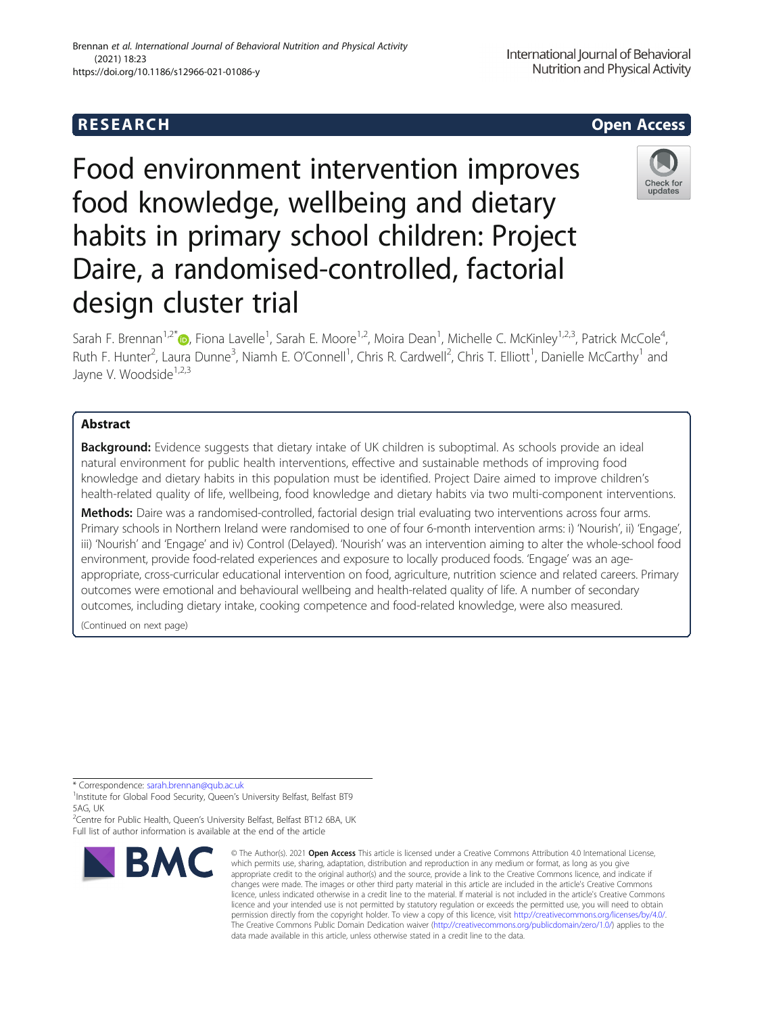# **RESEARCH CHEAR CHEAR CHEAR CHEAR CHEAR CHEAR CHEAR CHEAR CHEAR CHEAR CHEAR CHEAR CHEAR CHEAR CHEAR CHEAR CHEAR**

# Food environment intervention improves food knowledge, wellbeing and dietary habits in primary school children: Project Daire, a randomised-controlled, factorial design cluster trial

Sarah F. Brennan<sup>1[,](http://orcid.org/0000-0002-9893-3938)2\*</sup>®, Fiona Lavelle<sup>1</sup>, Sarah E. Moore<sup>1,2</sup>, Moira Dean<sup>1</sup>, Michelle C. McKinley<sup>1,2,3</sup>, Patrick McCole<sup>4</sup> , Ruth F. Hunter<sup>2</sup>, Laura Dunne<sup>3</sup>, Niamh E. O'Connell<sup>1</sup>, Chris R. Cardwell<sup>2</sup>, Chris T. Elliott<sup>1</sup>, Danielle McCarthy<sup>1</sup> and Jayne V. Woodside<sup>1,2,3</sup>

# Abstract

Background: Evidence suggests that dietary intake of UK children is suboptimal. As schools provide an ideal natural environment for public health interventions, effective and sustainable methods of improving food knowledge and dietary habits in this population must be identified. Project Daire aimed to improve children's health-related quality of life, wellbeing, food knowledge and dietary habits via two multi-component interventions.

Methods: Daire was a randomised-controlled, factorial design trial evaluating two interventions across four arms. Primary schools in Northern Ireland were randomised to one of four 6-month intervention arms: i) 'Nourish', ii) 'Engage', iii) 'Nourish' and 'Engage' and iv) Control (Delayed). 'Nourish' was an intervention aiming to alter the whole-school food environment, provide food-related experiences and exposure to locally produced foods. 'Engage' was an ageappropriate, cross-curricular educational intervention on food, agriculture, nutrition science and related careers. Primary outcomes were emotional and behavioural wellbeing and health-related quality of life. A number of secondary outcomes, including dietary intake, cooking competence and food-related knowledge, were also measured.

(Continued on next page)

**BMC** 

<sup>2</sup>Centre for Public Health, Queen's University Belfast, Belfast BT12 6BA, UK Full list of author information is available at the end of the article

 (2021) 18:23 https://doi.org/10.1186/s12966-021-01086-y

Brennan et al. International Journal of Behavioral Nutrition and Physical Activity



Check for undates

<sup>\*</sup> Correspondence: [sarah.brennan@qub.ac.uk](mailto:sarah.brennan@qub.ac.uk)<br><sup>1</sup>Institute for Global Food Security, Queen's University Belfast, Belfast BT9 5AG, UK

<sup>©</sup> The Author(s), 2021 **Open Access** This article is licensed under a Creative Commons Attribution 4.0 International License, which permits use, sharing, adaptation, distribution and reproduction in any medium or format, as long as you give appropriate credit to the original author(s) and the source, provide a link to the Creative Commons licence, and indicate if changes were made. The images or other third party material in this article are included in the article's Creative Commons licence, unless indicated otherwise in a credit line to the material. If material is not included in the article's Creative Commons licence and your intended use is not permitted by statutory regulation or exceeds the permitted use, you will need to obtain permission directly from the copyright holder. To view a copy of this licence, visit [http://creativecommons.org/licenses/by/4.0/.](http://creativecommons.org/licenses/by/4.0/) The Creative Commons Public Domain Dedication waiver [\(http://creativecommons.org/publicdomain/zero/1.0/](http://creativecommons.org/publicdomain/zero/1.0/)) applies to the data made available in this article, unless otherwise stated in a credit line to the data.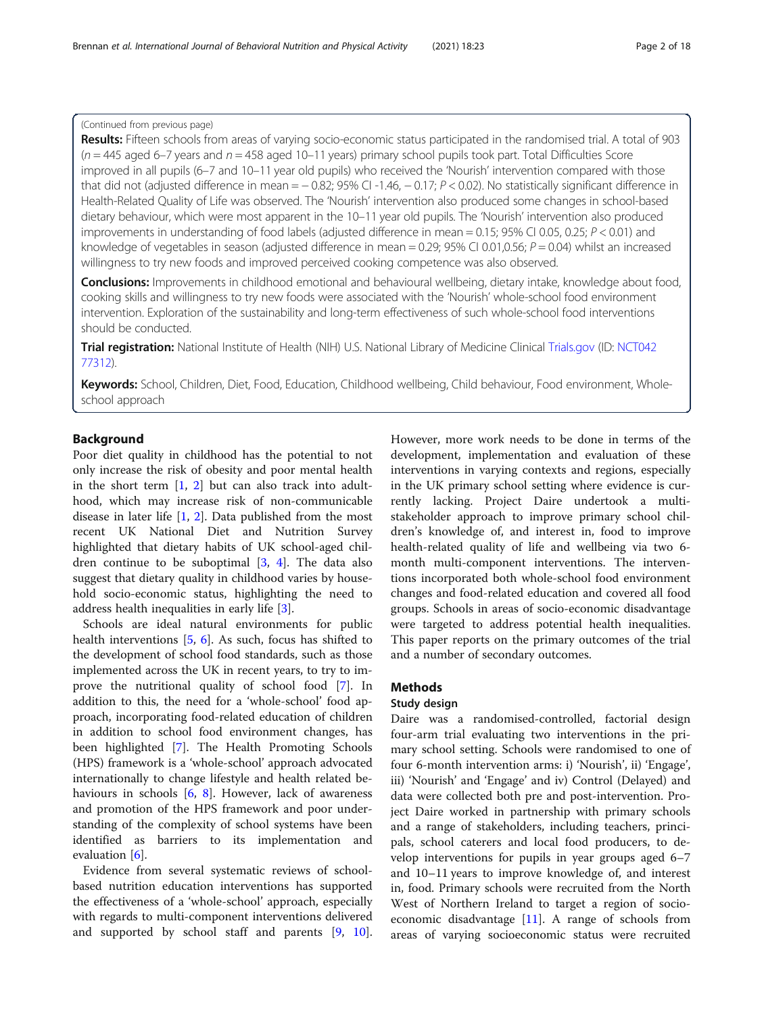# (Continued from previous page)

Results: Fifteen schools from areas of varying socio-economic status participated in the randomised trial. A total of 903  $(n = 445 \text{ aged } 6-7 \text{ years}$  and  $n = 458 \text{ aged } 10-11 \text{ years}$  primary school pupils took part. Total Difficulties Score improved in all pupils (6–7 and 10–11 year old pupils) who received the 'Nourish' intervention compared with those that did not (adjusted difference in mean =  $-0.82$ ; 95% CI -1.46,  $-0.17$ ;  $P < 0.02$ ). No statistically significant difference in Health-Related Quality of Life was observed. The 'Nourish' intervention also produced some changes in school-based dietary behaviour, which were most apparent in the 10–11 year old pupils. The 'Nourish' intervention also produced improvements in understanding of food labels (adjusted difference in mean = 0.15; 95% CI 0.05, 0.25;  $P < 0.01$ ) and knowledge of vegetables in season (adjusted difference in mean = 0.29; 95% CI 0.01,0.56;  $P = 0.04$ ) whilst an increased willingness to try new foods and improved perceived cooking competence was also observed.

**Conclusions:** Improvements in childhood emotional and behavioural wellbeing, dietary intake, knowledge about food, cooking skills and willingness to try new foods were associated with the 'Nourish' whole-school food environment intervention. Exploration of the sustainability and long-term effectiveness of such whole-school food interventions should be conducted.

Trial registration: National Institute of Health (NIH) U.S. National Library of Medicine Clinical [Trials.gov](http://trials.gov) (ID: [NCT042](https://clinicaltrials.gov/ct2/show/NCT04277312) [77312\)](https://clinicaltrials.gov/ct2/show/NCT04277312).

Keywords: School, Children, Diet, Food, Education, Childhood wellbeing, Child behaviour, Food environment, Wholeschool approach

# Background

Poor diet quality in childhood has the potential to not only increase the risk of obesity and poor mental health in the short term  $\begin{bmatrix} 1 \\ 2 \end{bmatrix}$  but can also track into adulthood, which may increase risk of non-communicable disease in later life  $[1, 2]$  $[1, 2]$  $[1, 2]$  $[1, 2]$  $[1, 2]$ . Data published from the most recent UK National Diet and Nutrition Survey highlighted that dietary habits of UK school-aged children continue to be suboptimal  $[3, 4]$  $[3, 4]$  $[3, 4]$  $[3, 4]$ . The data also suggest that dietary quality in childhood varies by household socio-economic status, highlighting the need to address health inequalities in early life [\[3](#page-16-0)].

Schools are ideal natural environments for public health interventions [[5,](#page-16-0) [6](#page-16-0)]. As such, focus has shifted to the development of school food standards, such as those implemented across the UK in recent years, to try to improve the nutritional quality of school food [\[7\]](#page-16-0). In addition to this, the need for a 'whole-school' food approach, incorporating food-related education of children in addition to school food environment changes, has been highlighted [\[7](#page-16-0)]. The Health Promoting Schools (HPS) framework is a 'whole-school' approach advocated internationally to change lifestyle and health related behaviours in schools [\[6](#page-16-0), [8\]](#page-16-0). However, lack of awareness and promotion of the HPS framework and poor understanding of the complexity of school systems have been identified as barriers to its implementation and evaluation [[6\]](#page-16-0).

Evidence from several systematic reviews of schoolbased nutrition education interventions has supported the effectiveness of a 'whole-school' approach, especially with regards to multi-component interventions delivered and supported by school staff and parents [[9](#page-16-0), [10](#page-16-0)].

However, more work needs to be done in terms of the development, implementation and evaluation of these interventions in varying contexts and regions, especially in the UK primary school setting where evidence is currently lacking. Project Daire undertook a multistakeholder approach to improve primary school children's knowledge of, and interest in, food to improve health-related quality of life and wellbeing via two 6 month multi-component interventions. The interventions incorporated both whole-school food environment changes and food-related education and covered all food groups. Schools in areas of socio-economic disadvantage were targeted to address potential health inequalities. This paper reports on the primary outcomes of the trial and a number of secondary outcomes.

# **Methods**

# Study design

Daire was a randomised-controlled, factorial design four-arm trial evaluating two interventions in the primary school setting. Schools were randomised to one of four 6-month intervention arms: i) 'Nourish', ii) 'Engage', iii) 'Nourish' and 'Engage' and iv) Control (Delayed) and data were collected both pre and post-intervention. Project Daire worked in partnership with primary schools and a range of stakeholders, including teachers, principals, school caterers and local food producers, to develop interventions for pupils in year groups aged 6–7 and 10–11 years to improve knowledge of, and interest in, food. Primary schools were recruited from the North West of Northern Ireland to target a region of socioeconomic disadvantage [[11\]](#page-16-0). A range of schools from areas of varying socioeconomic status were recruited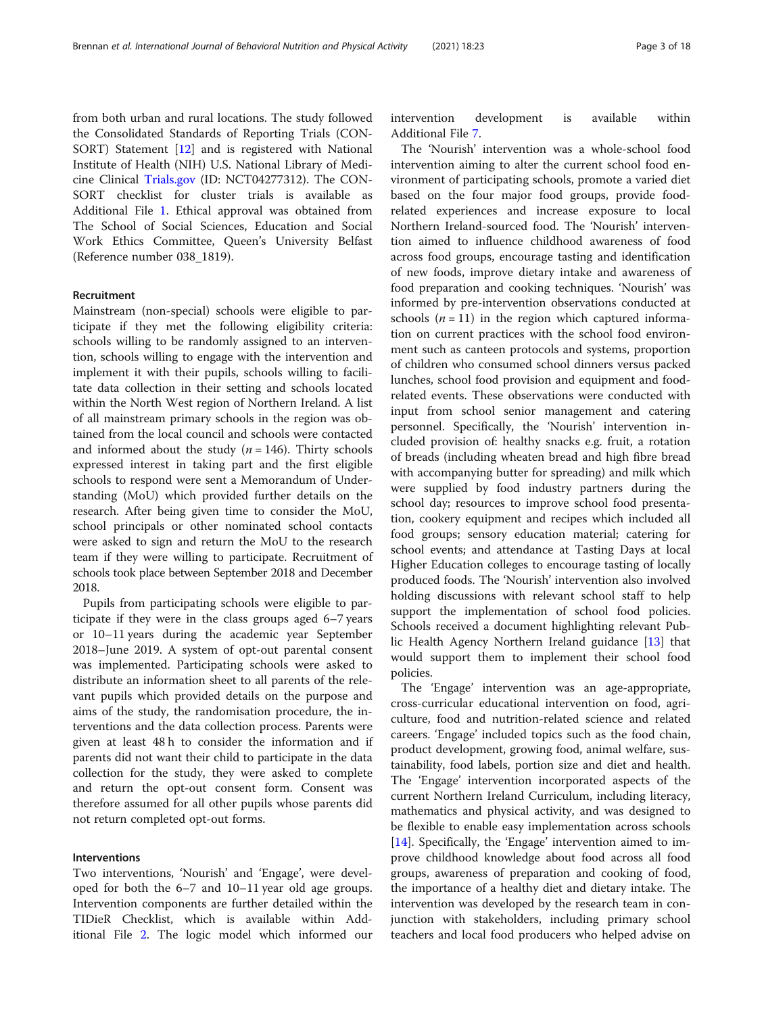from both urban and rural locations. The study followed the Consolidated Standards of Reporting Trials (CON-SORT) Statement [\[12](#page-16-0)] and is registered with National Institute of Health (NIH) U.S. National Library of Medicine Clinical [Trials.gov](http://trials.gov) (ID: NCT04277312). The CON-SORT checklist for cluster trials is available as Additional File [1.](#page-16-0) Ethical approval was obtained from The School of Social Sciences, Education and Social Work Ethics Committee, Queen's University Belfast (Reference number 038\_1819).

#### Recruitment

Mainstream (non-special) schools were eligible to participate if they met the following eligibility criteria: schools willing to be randomly assigned to an intervention, schools willing to engage with the intervention and implement it with their pupils, schools willing to facilitate data collection in their setting and schools located within the North West region of Northern Ireland. A list of all mainstream primary schools in the region was obtained from the local council and schools were contacted and informed about the study  $(n = 146)$ . Thirty schools expressed interest in taking part and the first eligible schools to respond were sent a Memorandum of Understanding (MoU) which provided further details on the research. After being given time to consider the MoU, school principals or other nominated school contacts were asked to sign and return the MoU to the research team if they were willing to participate. Recruitment of schools took place between September 2018 and December 2018.

Pupils from participating schools were eligible to participate if they were in the class groups aged 6–7 years or 10–11 years during the academic year September 2018–June 2019. A system of opt-out parental consent was implemented. Participating schools were asked to distribute an information sheet to all parents of the relevant pupils which provided details on the purpose and aims of the study, the randomisation procedure, the interventions and the data collection process. Parents were given at least 48 h to consider the information and if parents did not want their child to participate in the data collection for the study, they were asked to complete and return the opt-out consent form. Consent was therefore assumed for all other pupils whose parents did not return completed opt-out forms.

## Interventions

Two interventions, 'Nourish' and 'Engage', were developed for both the 6–7 and 10–11 year old age groups. Intervention components are further detailed within the TIDieR Checklist, which is available within Additional File [2](#page-16-0). The logic model which informed our intervention development is available within Additional File [7](#page-16-0).

The 'Nourish' intervention was a whole-school food intervention aiming to alter the current school food environment of participating schools, promote a varied diet based on the four major food groups, provide foodrelated experiences and increase exposure to local Northern Ireland-sourced food. The 'Nourish' intervention aimed to influence childhood awareness of food across food groups, encourage tasting and identification of new foods, improve dietary intake and awareness of food preparation and cooking techniques. 'Nourish' was informed by pre-intervention observations conducted at schools  $(n = 11)$  in the region which captured information on current practices with the school food environment such as canteen protocols and systems, proportion of children who consumed school dinners versus packed lunches, school food provision and equipment and foodrelated events. These observations were conducted with input from school senior management and catering personnel. Specifically, the 'Nourish' intervention included provision of: healthy snacks e.g. fruit, a rotation of breads (including wheaten bread and high fibre bread with accompanying butter for spreading) and milk which were supplied by food industry partners during the school day; resources to improve school food presentation, cookery equipment and recipes which included all food groups; sensory education material; catering for school events; and attendance at Tasting Days at local Higher Education colleges to encourage tasting of locally produced foods. The 'Nourish' intervention also involved holding discussions with relevant school staff to help support the implementation of school food policies. Schools received a document highlighting relevant Public Health Agency Northern Ireland guidance [\[13\]](#page-16-0) that would support them to implement their school food policies.

The 'Engage' intervention was an age-appropriate, cross-curricular educational intervention on food, agriculture, food and nutrition-related science and related careers. 'Engage' included topics such as the food chain, product development, growing food, animal welfare, sustainability, food labels, portion size and diet and health. The 'Engage' intervention incorporated aspects of the current Northern Ireland Curriculum, including literacy, mathematics and physical activity, and was designed to be flexible to enable easy implementation across schools [[14\]](#page-16-0). Specifically, the 'Engage' intervention aimed to improve childhood knowledge about food across all food groups, awareness of preparation and cooking of food, the importance of a healthy diet and dietary intake. The intervention was developed by the research team in conjunction with stakeholders, including primary school teachers and local food producers who helped advise on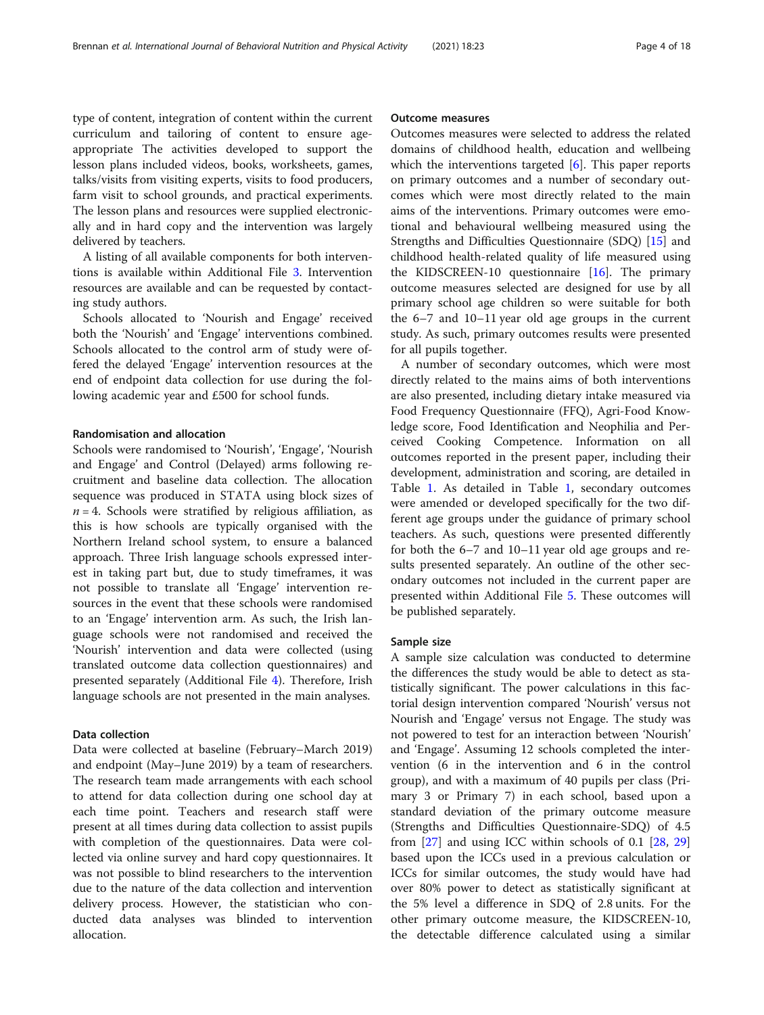type of content, integration of content within the current curriculum and tailoring of content to ensure ageappropriate The activities developed to support the lesson plans included videos, books, worksheets, games, talks/visits from visiting experts, visits to food producers, farm visit to school grounds, and practical experiments. The lesson plans and resources were supplied electronically and in hard copy and the intervention was largely delivered by teachers.

A listing of all available components for both interventions is available within Additional File [3](#page-16-0). Intervention resources are available and can be requested by contacting study authors.

Schools allocated to 'Nourish and Engage' received both the 'Nourish' and 'Engage' interventions combined. Schools allocated to the control arm of study were offered the delayed 'Engage' intervention resources at the end of endpoint data collection for use during the following academic year and £500 for school funds.

## Randomisation and allocation

Schools were randomised to 'Nourish', 'Engage', 'Nourish and Engage' and Control (Delayed) arms following recruitment and baseline data collection. The allocation sequence was produced in STATA using block sizes of  $n = 4$ . Schools were stratified by religious affiliation, as this is how schools are typically organised with the Northern Ireland school system, to ensure a balanced approach. Three Irish language schools expressed interest in taking part but, due to study timeframes, it was not possible to translate all 'Engage' intervention resources in the event that these schools were randomised to an 'Engage' intervention arm. As such, the Irish language schools were not randomised and received the 'Nourish' intervention and data were collected (using translated outcome data collection questionnaires) and presented separately (Additional File [4\)](#page-16-0). Therefore, Irish language schools are not presented in the main analyses.

# Data collection

Data were collected at baseline (February–March 2019) and endpoint (May–June 2019) by a team of researchers. The research team made arrangements with each school to attend for data collection during one school day at each time point. Teachers and research staff were present at all times during data collection to assist pupils with completion of the questionnaires. Data were collected via online survey and hard copy questionnaires. It was not possible to blind researchers to the intervention due to the nature of the data collection and intervention delivery process. However, the statistician who conducted data analyses was blinded to intervention allocation.

#### Outcome measures

Outcomes measures were selected to address the related domains of childhood health, education and wellbeing which the interventions targeted  $[6]$  $[6]$ . This paper reports on primary outcomes and a number of secondary outcomes which were most directly related to the main aims of the interventions. Primary outcomes were emotional and behavioural wellbeing measured using the Strengths and Difficulties Questionnaire (SDQ) [\[15\]](#page-16-0) and childhood health-related quality of life measured using the KIDSCREEN-10 questionnaire [\[16\]](#page-16-0). The primary outcome measures selected are designed for use by all primary school age children so were suitable for both the 6–7 and 10–11 year old age groups in the current study. As such, primary outcomes results were presented for all pupils together.

A number of secondary outcomes, which were most directly related to the mains aims of both interventions are also presented, including dietary intake measured via Food Frequency Questionnaire (FFQ), Agri-Food Knowledge score, Food Identification and Neophilia and Perceived Cooking Competence. Information on all outcomes reported in the present paper, including their development, administration and scoring, are detailed in Table [1](#page-4-0). As detailed in Table [1](#page-4-0), secondary outcomes were amended or developed specifically for the two different age groups under the guidance of primary school teachers. As such, questions were presented differently for both the 6–7 and 10–11 year old age groups and results presented separately. An outline of the other secondary outcomes not included in the current paper are presented within Additional File [5](#page-16-0). These outcomes will be published separately.

#### Sample size

A sample size calculation was conducted to determine the differences the study would be able to detect as statistically significant. The power calculations in this factorial design intervention compared 'Nourish' versus not Nourish and 'Engage' versus not Engage. The study was not powered to test for an interaction between 'Nourish' and 'Engage'. Assuming 12 schools completed the intervention (6 in the intervention and 6 in the control group), and with a maximum of 40 pupils per class (Primary 3 or Primary 7) in each school, based upon a standard deviation of the primary outcome measure (Strengths and Difficulties Questionnaire-SDQ) of 4.5 from [[27\]](#page-17-0) and using ICC within schools of 0.1 [[28](#page-17-0), [29](#page-17-0)] based upon the ICCs used in a previous calculation or ICCs for similar outcomes, the study would have had over 80% power to detect as statistically significant at the 5% level a difference in SDQ of 2.8 units. For the other primary outcome measure, the KIDSCREEN-10, the detectable difference calculated using a similar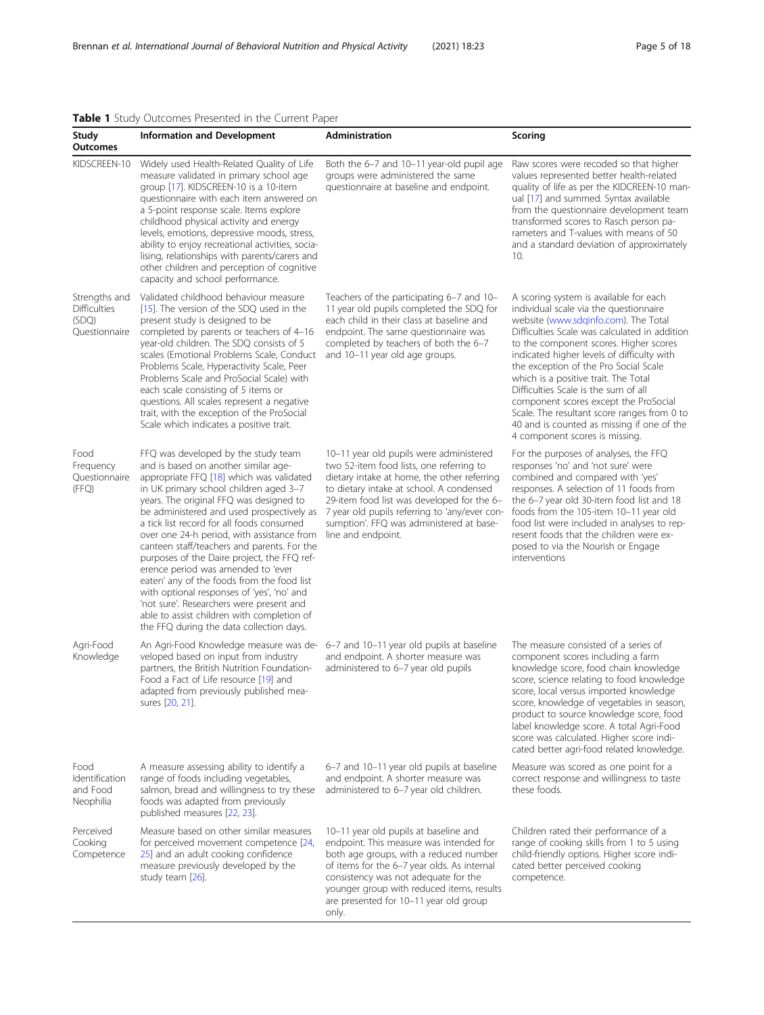# <span id="page-4-0"></span>Table 1 Study Outcomes Presented in the Current Paper

| Study<br><b>Outcomes</b>                                       | <b>Information and Development</b>                                                                                                                                                                                                                                                                                                                                                                                                                                                                                                                                                                                                                                                                                         | <b>Administration</b>                                                                                                                                                                                                                                                                                                                           | Scoring                                                                                                                                                                                                                                                                                                                                                                                                                                                                                                                                                            |
|----------------------------------------------------------------|----------------------------------------------------------------------------------------------------------------------------------------------------------------------------------------------------------------------------------------------------------------------------------------------------------------------------------------------------------------------------------------------------------------------------------------------------------------------------------------------------------------------------------------------------------------------------------------------------------------------------------------------------------------------------------------------------------------------------|-------------------------------------------------------------------------------------------------------------------------------------------------------------------------------------------------------------------------------------------------------------------------------------------------------------------------------------------------|--------------------------------------------------------------------------------------------------------------------------------------------------------------------------------------------------------------------------------------------------------------------------------------------------------------------------------------------------------------------------------------------------------------------------------------------------------------------------------------------------------------------------------------------------------------------|
| KIDSCREEN-10                                                   | Widely used Health-Related Quality of Life<br>measure validated in primary school age<br>group [17]. KIDSCREEN-10 is a 10-item<br>questionnaire with each item answered on<br>a 5-point response scale. Items explore<br>childhood physical activity and energy<br>levels, emotions, depressive moods, stress,<br>ability to enjoy recreational activities, socia-<br>lising, relationships with parents/carers and<br>other children and perception of cognitive<br>capacity and school performance.                                                                                                                                                                                                                      | Both the 6-7 and 10-11 year-old pupil age<br>groups were administered the same<br>questionnaire at baseline and endpoint.                                                                                                                                                                                                                       | Raw scores were recoded so that higher<br>values represented better health-related<br>quality of life as per the KIDCREEN-10 man-<br>ual [17] and summed. Syntax available<br>from the questionnaire development team<br>transformed scores to Rasch person pa-<br>rameters and T-values with means of 50<br>and a standard deviation of approximately<br>10.                                                                                                                                                                                                      |
| Strengths and<br><b>Difficulties</b><br>(SDQ)<br>Questionnaire | Validated childhood behaviour measure<br>[15]. The version of the SDQ used in the<br>present study is designed to be<br>completed by parents or teachers of 4-16<br>year-old children. The SDQ consists of 5<br>scales (Emotional Problems Scale, Conduct<br>Problems Scale, Hyperactivity Scale, Peer<br>Problems Scale and ProSocial Scale) with<br>each scale consisting of 5 items or<br>questions. All scales represent a negative<br>trait, with the exception of the ProSocial<br>Scale which indicates a positive trait.                                                                                                                                                                                           | Teachers of the participating 6–7 and 10–<br>11 year old pupils completed the SDQ for<br>each child in their class at baseline and<br>endpoint. The same questionnaire was<br>completed by teachers of both the 6-7<br>and 10-11 year old age groups.                                                                                           | A scoring system is available for each<br>individual scale via the questionnaire<br>website (www.sdqinfo.com). The Total<br>Difficulties Scale was calculated in addition<br>to the component scores. Higher scores<br>indicated higher levels of difficulty with<br>the exception of the Pro Social Scale<br>which is a positive trait. The Total<br>Difficulties Scale is the sum of all<br>component scores except the ProSocial<br>Scale. The resultant score ranges from 0 to<br>40 and is counted as missing if one of the<br>4 component scores is missing. |
| Food<br>Frequency<br>Questionnaire<br>(FFQ)                    | FFQ was developed by the study team<br>and is based on another similar age-<br>appropriate FFQ [18] which was validated<br>in UK primary school children aged 3-7<br>years. The original FFQ was designed to<br>be administered and used prospectively as<br>a tick list record for all foods consumed<br>over one 24-h period, with assistance from<br>canteen staff/teachers and parents. For the<br>purposes of the Daire project, the FFQ ref-<br>erence period was amended to 'ever<br>eaten' any of the foods from the food list<br>with optional responses of 'yes', 'no' and<br>'not sure'. Researchers were present and<br>able to assist children with completion of<br>the FFQ during the data collection days. | 10-11 year old pupils were administered<br>two 52-item food lists, one referring to<br>dietary intake at home, the other referring<br>to dietary intake at school. A condensed<br>29-item food list was developed for the 6-<br>7 year old pupils referring to 'any/ever con-<br>sumption'. FFQ was administered at base-<br>line and endpoint. | For the purposes of analyses, the FFQ<br>responses 'no' and 'not sure' were<br>combined and compared with 'yes'<br>responses. A selection of 11 foods from<br>the 6-7 year old 30-item food list and 18<br>foods from the 105-item 10-11 year old<br>food list were included in analyses to rep-<br>resent foods that the children were ex-<br>posed to via the Nourish or Engage<br>interventions                                                                                                                                                                 |
| Agri-Food<br>Knowledge                                         | An Agri-Food Knowledge measure was de-<br>veloped based on input from industry<br>partners, the British Nutrition Foundation-<br>Food a Fact of Life resource [19] and<br>adapted from previously published mea-<br>sures [20, 21].                                                                                                                                                                                                                                                                                                                                                                                                                                                                                        | 6-7 and 10-11 year old pupils at baseline<br>and endpoint. A shorter measure was<br>administered to 6-7 year old pupils                                                                                                                                                                                                                         | The measure consisted of a series of<br>component scores including a farm<br>knowledge score, food chain knowledge<br>score, science relating to food knowledge<br>score, local versus imported knowledge<br>score, knowledge of vegetables in season,<br>product to source knowledge score, food<br>label knowledge score. A total Agri-Food<br>score was calculated. Higher score indi-<br>cated better agri-food related knowledge.                                                                                                                             |
| Food<br>Identification<br>and Food<br>Neophilia                | A measure assessing ability to identify a<br>range of foods including vegetables,<br>salmon, bread and willingness to try these<br>foods was adapted from previously<br>published measures [22, 23].                                                                                                                                                                                                                                                                                                                                                                                                                                                                                                                       | 6-7 and 10-11 year old pupils at baseline<br>and endpoint. A shorter measure was<br>administered to 6-7 year old children.                                                                                                                                                                                                                      | Measure was scored as one point for a<br>correct response and willingness to taste<br>these foods.                                                                                                                                                                                                                                                                                                                                                                                                                                                                 |
| Perceived<br>Cooking<br>Competence                             | Measure based on other similar measures<br>for perceived movement competence [24,<br>25] and an adult cooking confidence<br>measure previously developed by the<br>study team [26].                                                                                                                                                                                                                                                                                                                                                                                                                                                                                                                                        | 10-11 year old pupils at baseline and<br>endpoint. This measure was intended for<br>both age groups, with a reduced number<br>of items for the 6-7 year olds. As internal<br>consistency was not adequate for the<br>younger group with reduced items, results<br>are presented for 10-11 year old group<br>only.                               | Children rated their performance of a<br>range of cooking skills from 1 to 5 using<br>child-friendly options. Higher score indi-<br>cated better perceived cooking<br>competence.                                                                                                                                                                                                                                                                                                                                                                                  |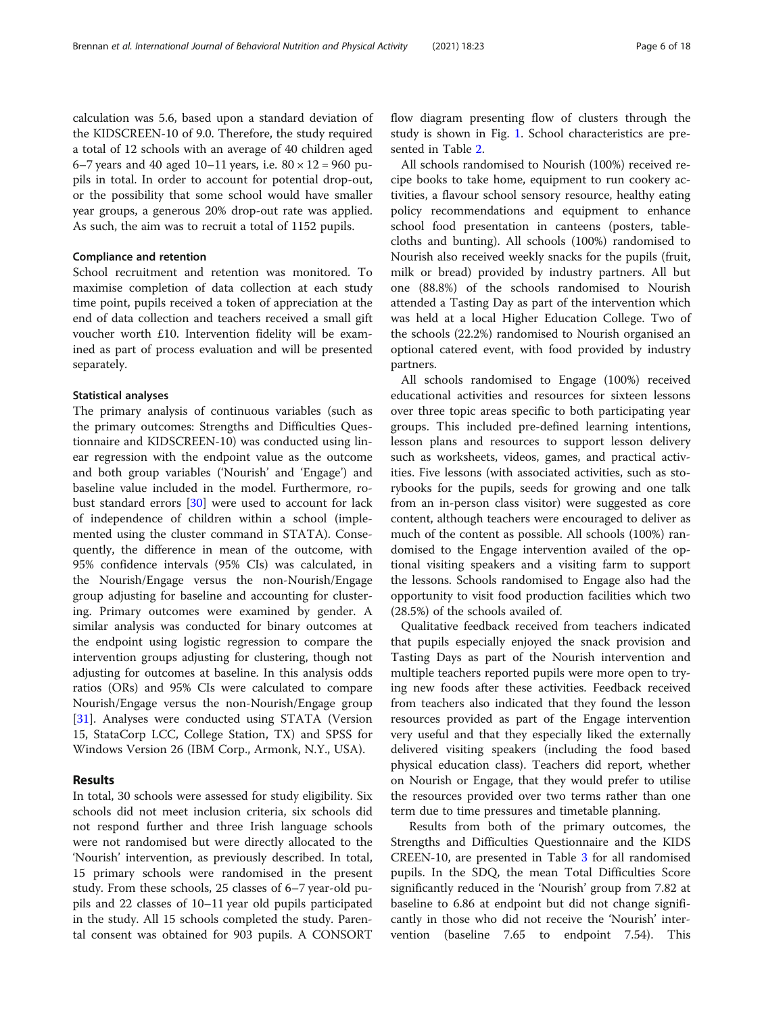calculation was 5.6, based upon a standard deviation of the KIDSCREEN-10 of 9.0. Therefore, the study required a total of 12 schools with an average of 40 children aged 6–7 years and 40 aged 10–11 years, i.e.  $80 \times 12 = 960$  pupils in total. In order to account for potential drop-out, or the possibility that some school would have smaller year groups, a generous 20% drop-out rate was applied. As such, the aim was to recruit a total of 1152 pupils.

# Compliance and retention

School recruitment and retention was monitored. To maximise completion of data collection at each study time point, pupils received a token of appreciation at the end of data collection and teachers received a small gift voucher worth £10. Intervention fidelity will be examined as part of process evaluation and will be presented separately.

#### Statistical analyses

The primary analysis of continuous variables (such as the primary outcomes: Strengths and Difficulties Questionnaire and KIDSCREEN-10) was conducted using linear regression with the endpoint value as the outcome and both group variables ('Nourish' and 'Engage') and baseline value included in the model. Furthermore, robust standard errors [\[30](#page-17-0)] were used to account for lack of independence of children within a school (implemented using the cluster command in STATA). Consequently, the difference in mean of the outcome, with 95% confidence intervals (95% CIs) was calculated, in the Nourish/Engage versus the non-Nourish/Engage group adjusting for baseline and accounting for clustering. Primary outcomes were examined by gender. A similar analysis was conducted for binary outcomes at the endpoint using logistic regression to compare the intervention groups adjusting for clustering, though not adjusting for outcomes at baseline. In this analysis odds ratios (ORs) and 95% CIs were calculated to compare Nourish/Engage versus the non-Nourish/Engage group [[31\]](#page-17-0). Analyses were conducted using STATA (Version 15, StataCorp LCC, College Station, TX) and SPSS for Windows Version 26 (IBM Corp., Armonk, N.Y., USA).

# Results

In total, 30 schools were assessed for study eligibility. Six schools did not meet inclusion criteria, six schools did not respond further and three Irish language schools were not randomised but were directly allocated to the 'Nourish' intervention, as previously described. In total, 15 primary schools were randomised in the present study. From these schools, 25 classes of 6–7 year-old pupils and 22 classes of 10–11 year old pupils participated in the study. All 15 schools completed the study. Parental consent was obtained for 903 pupils. A CONSORT flow diagram presenting flow of clusters through the study is shown in Fig. [1](#page-6-0). School characteristics are presented in Table [2.](#page-6-0)

All schools randomised to Nourish (100%) received recipe books to take home, equipment to run cookery activities, a flavour school sensory resource, healthy eating policy recommendations and equipment to enhance school food presentation in canteens (posters, tablecloths and bunting). All schools (100%) randomised to Nourish also received weekly snacks for the pupils (fruit, milk or bread) provided by industry partners. All but one (88.8%) of the schools randomised to Nourish attended a Tasting Day as part of the intervention which was held at a local Higher Education College. Two of the schools (22.2%) randomised to Nourish organised an optional catered event, with food provided by industry partners.

All schools randomised to Engage (100%) received educational activities and resources for sixteen lessons over three topic areas specific to both participating year groups. This included pre-defined learning intentions, lesson plans and resources to support lesson delivery such as worksheets, videos, games, and practical activities. Five lessons (with associated activities, such as storybooks for the pupils, seeds for growing and one talk from an in-person class visitor) were suggested as core content, although teachers were encouraged to deliver as much of the content as possible. All schools (100%) randomised to the Engage intervention availed of the optional visiting speakers and a visiting farm to support the lessons. Schools randomised to Engage also had the opportunity to visit food production facilities which two (28.5%) of the schools availed of.

Qualitative feedback received from teachers indicated that pupils especially enjoyed the snack provision and Tasting Days as part of the Nourish intervention and multiple teachers reported pupils were more open to trying new foods after these activities. Feedback received from teachers also indicated that they found the lesson resources provided as part of the Engage intervention very useful and that they especially liked the externally delivered visiting speakers (including the food based physical education class). Teachers did report, whether on Nourish or Engage, that they would prefer to utilise the resources provided over two terms rather than one term due to time pressures and timetable planning.

Results from both of the primary outcomes, the Strengths and Difficulties Questionnaire and the KIDS CREEN-10, are presented in Table [3](#page-7-0) for all randomised pupils. In the SDQ, the mean Total Difficulties Score significantly reduced in the 'Nourish' group from 7.82 at baseline to 6.86 at endpoint but did not change significantly in those who did not receive the 'Nourish' intervention (baseline 7.65 to endpoint 7.54). This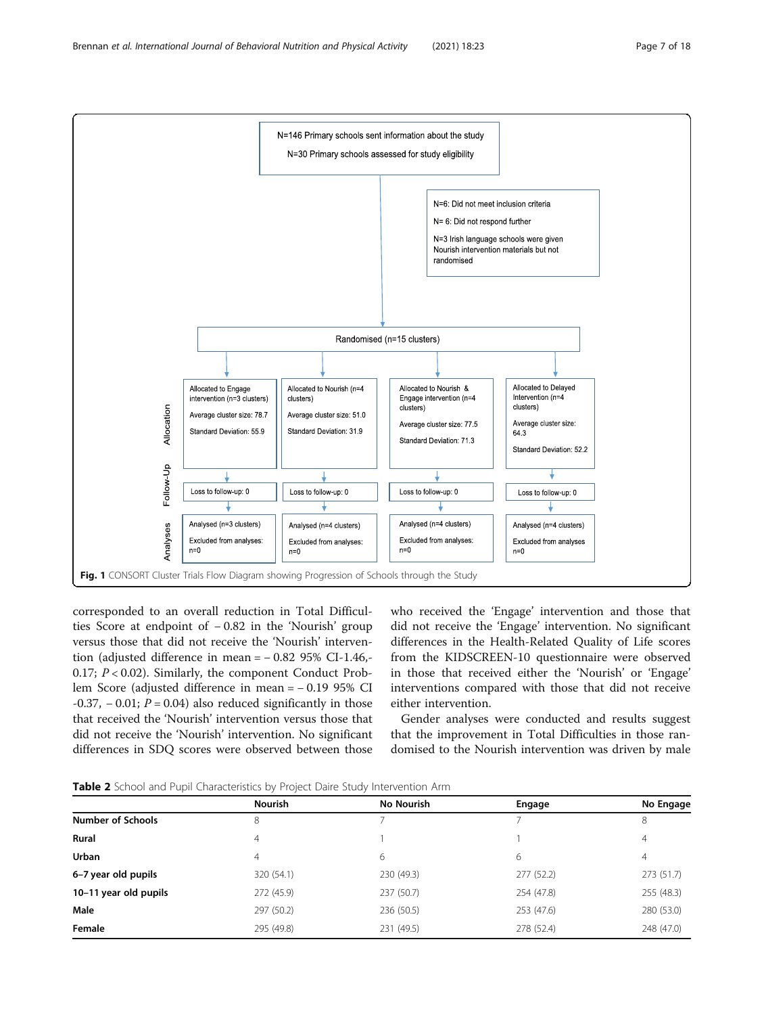<span id="page-6-0"></span>

corresponded to an overall reduction in Total Difficulties Score at endpoint of − 0.82 in the 'Nourish' group versus those that did not receive the 'Nourish' intervention (adjusted difference in mean = − 0.82 95% CI-1.46,- 0.17;  $P < 0.02$ ). Similarly, the component Conduct Problem Score (adjusted difference in mean = − 0.19 95% CI  $-0.37$ ,  $-0.01$ ;  $P = 0.04$ ) also reduced significantly in those that received the 'Nourish' intervention versus those that did not receive the 'Nourish' intervention. No significant differences in SDQ scores were observed between those who received the 'Engage' intervention and those that did not receive the 'Engage' intervention. No significant differences in the Health-Related Quality of Life scores from the KIDSCREEN-10 questionnaire were observed in those that received either the 'Nourish' or 'Engage' interventions compared with those that did not receive either intervention.

Gender analyses were conducted and results suggest that the improvement in Total Difficulties in those randomised to the Nourish intervention was driven by male

**Table 2** School and Pupil Characteristics by Project Daire Study Intervention Arm

|                          | <b>Nourish</b> | No Nourish | Engage     | No Engage  |
|--------------------------|----------------|------------|------------|------------|
| <b>Number of Schools</b> | 8              |            |            | 8          |
| Rural                    | $\overline{4}$ |            |            | 4          |
| <b>Urban</b>             | 4              | 6          | 6          | 4          |
| 6-7 year old pupils      | 320 (54.1)     | 230 (49.3) | 277(52.2)  | 273 (51.7) |
| 10-11 year old pupils    | 272 (45.9)     | 237 (50.7) | 254 (47.8) | 255 (48.3) |
| Male                     | 297 (50.2)     | 236 (50.5) | 253 (47.6) | 280 (53.0) |
| Female                   | 295 (49.8)     | 231 (49.5) | 278 (52.4) | 248 (47.0) |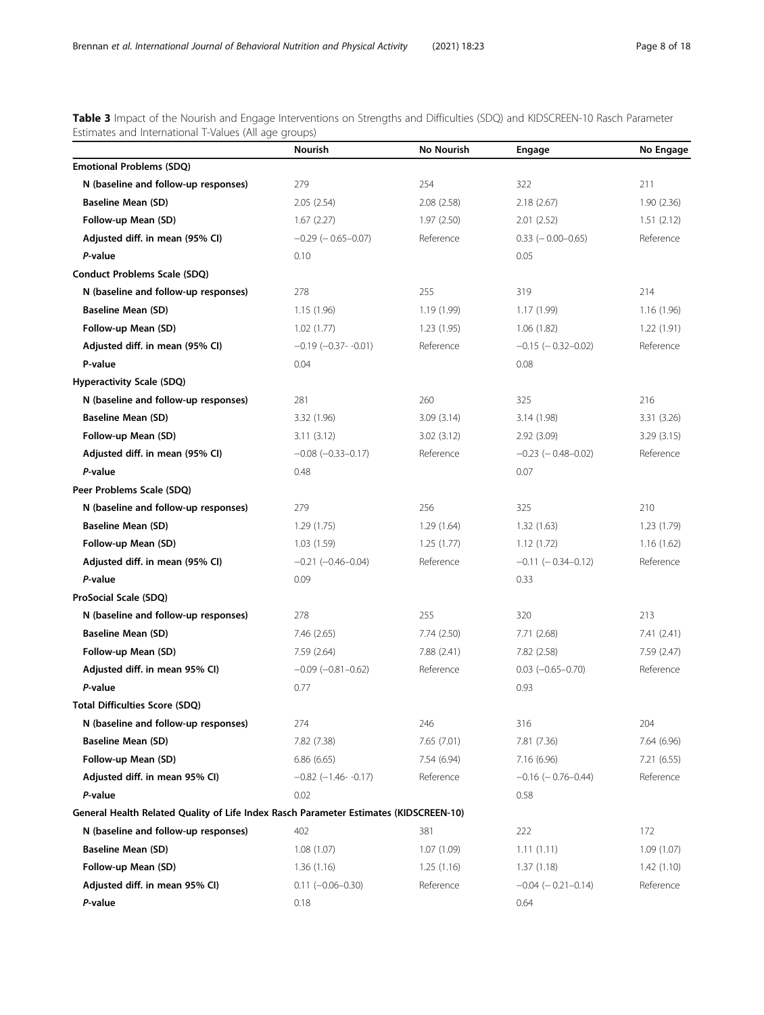<span id="page-7-0"></span>Table 3 Impact of the Nourish and Engage Interventions on Strengths and Difficulties (SDQ) and KIDSCREEN-10 Rasch Parameter Estimates and International T-Values (All age groups)

|                                                                                       | Nourish                       | No Nourish  | Engage                     | No Engage   |
|---------------------------------------------------------------------------------------|-------------------------------|-------------|----------------------------|-------------|
| <b>Emotional Problems (SDQ)</b>                                                       |                               |             |                            |             |
| N (baseline and follow-up responses)                                                  | 279                           | 254         | 322                        | 211         |
| <b>Baseline Mean (SD)</b>                                                             | 2.05(2.54)                    | 2.08(2.58)  | 2.18(2.67)                 | 1.90(2.36)  |
| Follow-up Mean (SD)                                                                   | 1.67(2.27)                    | 1.97(2.50)  | 2.01(2.52)                 | 1.51(2.12)  |
| Adjusted diff. in mean (95% CI)                                                       | $-0.29$ ( $-0.65 - 0.07$ )    | Reference   | $0.33$ ( $-0.00 - 0.65$ )  | Reference   |
| P-value                                                                               | 0.10                          |             | 0.05                       |             |
| <b>Conduct Problems Scale (SDQ)</b>                                                   |                               |             |                            |             |
| N (baseline and follow-up responses)                                                  | 278                           | 255         | 319                        | 214         |
| <b>Baseline Mean (SD)</b>                                                             | 1.15(1.96)                    | 1.19(1.99)  | 1.17(1.99)                 | 1.16(1.96)  |
| Follow-up Mean (SD)                                                                   | 1.02(1.77)                    | 1.23(1.95)  | 1.06(1.82)                 | 1.22(1.91)  |
| Adjusted diff. in mean (95% CI)                                                       | $-0.19$ ( $-0.37$ - $-0.01$ ) | Reference   | $-0.15$ ( $-0.32-0.02$ )   | Reference   |
| P-value                                                                               | 0.04                          |             | 0.08                       |             |
| <b>Hyperactivity Scale (SDQ)</b>                                                      |                               |             |                            |             |
| N (baseline and follow-up responses)                                                  | 281                           | 260         | 325                        | 216         |
| <b>Baseline Mean (SD)</b>                                                             | 3.32 (1.96)                   | 3.09(3.14)  | 3.14 (1.98)                | 3.31 (3.26) |
| Follow-up Mean (SD)                                                                   | 3.11(3.12)                    | 3.02(3.12)  | 2.92(3.09)                 | 3.29(3.15)  |
| Adjusted diff. in mean (95% CI)                                                       | $-0.08$ $(-0.33 - 0.17)$      | Reference   | $-0.23$ ( $-0.48 - 0.02$ ) | Reference   |
| P-value                                                                               | 0.48                          |             | 0.07                       |             |
| Peer Problems Scale (SDQ)                                                             |                               |             |                            |             |
| N (baseline and follow-up responses)                                                  | 279                           | 256         | 325                        | 210         |
| <b>Baseline Mean (SD)</b>                                                             | 1.29(1.75)                    | 1.29(1.64)  | 1.32(1.63)                 | 1.23(1.79)  |
| Follow-up Mean (SD)                                                                   | 1.03(1.59)                    | 1.25(1.77)  | 1.12(1.72)                 | 1.16(1.62)  |
| Adjusted diff. in mean (95% CI)                                                       | $-0.21$ $(-0.46 - 0.04)$      | Reference   | $-0.11$ $(-0.34 - 0.12)$   | Reference   |
| P-value                                                                               | 0.09                          |             | 0.33                       |             |
| ProSocial Scale (SDQ)                                                                 |                               |             |                            |             |
| N (baseline and follow-up responses)                                                  | 278                           | 255         | 320                        | 213         |
| <b>Baseline Mean (SD)</b>                                                             | 7.46(2.65)                    | 7.74 (2.50) | 7.71 (2.68)                | 7.41(2.41)  |
| Follow-up Mean (SD)                                                                   | 7.59 (2.64)                   | 7.88 (2.41) | 7.82 (2.58)                | 7.59 (2.47) |
| Adjusted diff. in mean 95% CI)                                                        | $-0.09$ $(-0.81 - 0.62)$      | Reference   | $0.03$ $(-0.65 - 0.70)$    | Reference   |
| P-value                                                                               | 0.77                          |             | 0.93                       |             |
| <b>Total Difficulties Score (SDQ)</b>                                                 |                               |             |                            |             |
| N (baseline and follow-up responses)                                                  | 274                           | 246         | 316                        | 204         |
| <b>Baseline Mean (SD)</b>                                                             | 7.82 (7.38)                   | 7.65 (7.01) | 7.81 (7.36)                | 7.64 (6.96) |
| Follow-up Mean (SD)                                                                   | 6.86(6.65)                    | 7.54 (6.94) | 7.16 (6.96)                | 7.21(6.55)  |
| Adjusted diff. in mean 95% CI)                                                        | $-0.82$ ( $-1.46$ - $-0.17$ ) | Reference   | $-0.16$ ( $-0.76-0.44$ )   | Reference   |
| P-value                                                                               | 0.02                          |             | 0.58                       |             |
| General Health Related Quality of Life Index Rasch Parameter Estimates (KIDSCREEN-10) |                               |             |                            |             |
| N (baseline and follow-up responses)                                                  | 402                           | 381         | 222                        | 172         |
| <b>Baseline Mean (SD)</b>                                                             | 1.08(1.07)                    | 1.07(1.09)  | 1.11(1.11)                 | 1.09(1.07)  |
| Follow-up Mean (SD)                                                                   | 1.36(1.16)                    | 1.25(1.16)  | 1.37(1.18)                 | 1.42(1.10)  |
| Adjusted diff. in mean 95% CI)                                                        | $0.11 (-0.06 - 0.30)$         | Reference   | $-0.04$ ( $-0.21 - 0.14$ ) | Reference   |
| P-value                                                                               | 0.18                          |             | 0.64                       |             |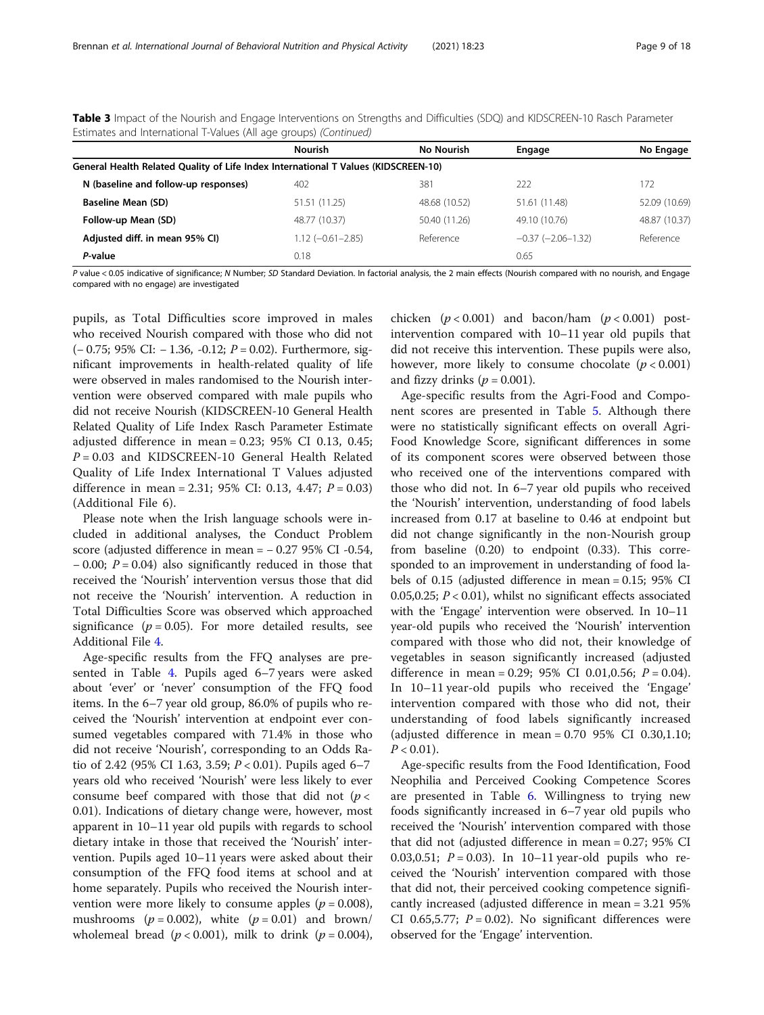Table 3 Impact of the Nourish and Engage Interventions on Strengths and Difficulties (SDQ) and KIDSCREEN-10 Rasch Parameter Estimates and International T-Values (All age groups) (Continued)

|                                                                                    | <b>Nourish</b>        | <b>No Nourish</b> | Engage                 | No Engage     |
|------------------------------------------------------------------------------------|-----------------------|-------------------|------------------------|---------------|
| General Health Related Quality of Life Index International T Values (KIDSCREEN-10) |                       |                   |                        |               |
| N (baseline and follow-up responses)                                               | 402                   | 381               | 222                    | 172           |
| <b>Baseline Mean (SD)</b>                                                          | 51.51 (11.25)         | 48.68 (10.52)     | 51.61 (11.48)          | 52.09 (10.69) |
| Follow-up Mean (SD)                                                                | 48.77 (10.37)         | 50.40 (11.26)     | 49.10 (10.76)          | 48.87 (10.37) |
| Adjusted diff. in mean 95% CI)                                                     | $1.12 (-0.61 - 2.85)$ | Reference         | $-0.37$ $(-2.06-1.32)$ | Reference     |
| P-value                                                                            | 0.18                  |                   | 0.65                   |               |

P value < 0.05 indicative of significance; N Number; SD Standard Deviation. In factorial analysis, the 2 main effects (Nourish compared with no nourish, and Engage compared with no engage) are investigated

pupils, as Total Difficulties score improved in males who received Nourish compared with those who did not (− 0.75; 95% CI: − 1.36, -0.12; P = 0.02). Furthermore, significant improvements in health-related quality of life were observed in males randomised to the Nourish intervention were observed compared with male pupils who did not receive Nourish (KIDSCREEN-10 General Health Related Quality of Life Index Rasch Parameter Estimate adjusted difference in mean = 0.23; 95% CI 0.13, 0.45;  $P = 0.03$  and KIDSCREEN-10 General Health Related Quality of Life Index International T Values adjusted difference in mean = 2.31; 95% CI: 0.13, 4.47;  $P = 0.03$ ) (Additional File 6).

Please note when the Irish language schools were included in additional analyses, the Conduct Problem score (adjusted difference in mean = − 0.27 95% CI -0.54,  $-0.00$ ;  $P = 0.04$ ) also significantly reduced in those that received the 'Nourish' intervention versus those that did not receive the 'Nourish' intervention. A reduction in Total Difficulties Score was observed which approached significance ( $p = 0.05$ ). For more detailed results, see Additional File [4](#page-16-0).

Age-specific results from the FFQ analyses are presented in Table [4](#page-9-0). Pupils aged 6–7 years were asked about 'ever' or 'never' consumption of the FFQ food items. In the 6–7 year old group, 86.0% of pupils who received the 'Nourish' intervention at endpoint ever consumed vegetables compared with 71.4% in those who did not receive 'Nourish', corresponding to an Odds Ratio of 2.42 (95% CI 1.63, 3.59;  $P < 0.01$ ). Pupils aged 6–7 years old who received 'Nourish' were less likely to ever consume beef compared with those that did not  $(p <$ 0.01). Indications of dietary change were, however, most apparent in 10–11 year old pupils with regards to school dietary intake in those that received the 'Nourish' intervention. Pupils aged 10–11 years were asked about their consumption of the FFQ food items at school and at home separately. Pupils who received the Nourish intervention were more likely to consume apples ( $p = 0.008$ ), mushrooms ( $p = 0.002$ ), white ( $p = 0.01$ ) and brown/ wholemeal bread ( $p < 0.001$ ), milk to drink ( $p = 0.004$ ),

chicken  $(p < 0.001)$  and bacon/ham  $(p < 0.001)$  postintervention compared with 10–11 year old pupils that did not receive this intervention. These pupils were also, however, more likely to consume chocolate  $(p < 0.001)$ and fizzy drinks ( $p = 0.001$ ).

Age-specific results from the Agri-Food and Component scores are presented in Table [5.](#page-11-0) Although there were no statistically significant effects on overall Agri-Food Knowledge Score, significant differences in some of its component scores were observed between those who received one of the interventions compared with those who did not. In 6–7 year old pupils who received the 'Nourish' intervention, understanding of food labels increased from 0.17 at baseline to 0.46 at endpoint but did not change significantly in the non-Nourish group from baseline (0.20) to endpoint (0.33). This corresponded to an improvement in understanding of food labels of 0.15 (adjusted difference in mean = 0.15; 95% CI 0.05,0.25;  $P < 0.01$ ), whilst no significant effects associated with the 'Engage' intervention were observed. In 10–11 year-old pupils who received the 'Nourish' intervention compared with those who did not, their knowledge of vegetables in season significantly increased (adjusted difference in mean = 0.29; 95% CI 0.01,0.56;  $P = 0.04$ ). In 10–11 year-old pupils who received the 'Engage' intervention compared with those who did not, their understanding of food labels significantly increased (adjusted difference in mean =  $0.70$  95% CI 0.30,1.10;  $P < 0.01$ ).

Age-specific results from the Food Identification, Food Neophilia and Perceived Cooking Competence Scores are presented in Table [6](#page-13-0). Willingness to trying new foods significantly increased in 6–7 year old pupils who received the 'Nourish' intervention compared with those that did not (adjusted difference in mean = 0.27; 95% CI 0.03,0.51;  $P = 0.03$ ). In 10–11 year-old pupils who received the 'Nourish' intervention compared with those that did not, their perceived cooking competence significantly increased (adjusted difference in mean = 3.21 95% CI 0.65,5.77;  $P = 0.02$ ). No significant differences were observed for the 'Engage' intervention.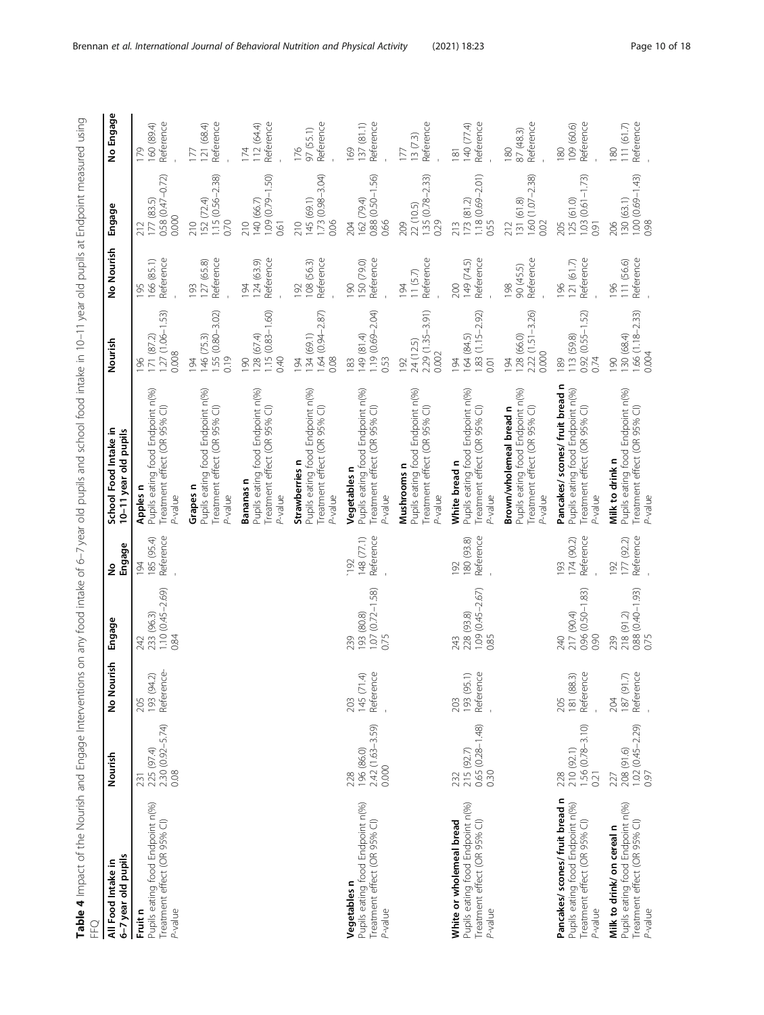<span id="page-9-0"></span>Table 4 Impact of the Nourish and Engage Interventions on any food intake of 6–7 year old pupils and school food intake in 10–11 year old pupils at Endpoint measured using **Table 4** Impact of the Nourish and Engage Interventions on any food intake of 6–7 year old pupils and school food intake in 10–11 year old pupils at Endpoint measured using<br>FFQ

| 6-7 year old pupils<br>All Food Intake in                                                                      | Nourish                                          | No Nourish                     | Engage                                           | Engage<br>ş                    | School Food Intake in<br>10-11 year old pupils                                                                 | Nourish                                                 | No Nourish                     | Engage                                              | No Engage                                   |
|----------------------------------------------------------------------------------------------------------------|--------------------------------------------------|--------------------------------|--------------------------------------------------|--------------------------------|----------------------------------------------------------------------------------------------------------------|---------------------------------------------------------|--------------------------------|-----------------------------------------------------|---------------------------------------------|
| Pupils eating food Endpoint n(%)<br>Treatment effect (OR 95% CI)<br>P-value<br>Fruit n                         | 2.30 (0.92-5.74)<br>225 (97.4)<br>0.08<br>231    | Reference<br>193 (94.2)<br>205 | 1.10 (0.45-2.69)<br>233 (96.3)<br>0.84<br>242    | Reference<br>185 (95.4)<br>194 | Pupils eating food Endpoint n(%)<br>Treatment effect (OR 95% CI)<br>Apples n<br>$P-y$ alue                     | $1.27(1.06 - 1.53)$<br>71 (87.2)<br>0.008<br>96         | Reference<br>166 (85.1)<br>195 | 0.58 (0.47-0.72)<br>177 (83.5)<br>0.000<br>212      | Reference<br>60 (89.4)<br>179               |
|                                                                                                                |                                                  |                                |                                                  |                                | Pupils eating food Endpoint n(%)<br>Treatment effect (OR 95% CI)<br>Grapes n<br>P-value                        | $1.55(0.80 - 3.02)$<br>146 (75.3)<br>0.19<br>194        | Reference<br>127 (65.8)<br>193 | 1.15 (0.56-2.38)<br>152 (72.4)<br>0.70<br>210       | Reference<br>121 (68.4)<br>177              |
|                                                                                                                |                                                  |                                |                                                  |                                | Pupils eating food Endpoint n(%)<br>Treatment effect (OR 95% CI)<br>Bananas n<br>P-value                       | $1.15(0.83 - 1.60)$<br>128(67.4)<br>0.40<br>90          | Reference<br>124(63.9)<br>194  | $1.09(0.79 - 1.50)$<br>140 (66.7)<br>210<br>0.61    | Reference<br>12 (64.4)<br>174               |
|                                                                                                                |                                                  |                                |                                                  |                                | Pupils eating food Endpoint n(%)<br>Treatment effect (OR 95% CI)<br>Strawberries n<br>P-value                  | .64 (0.94-2.87)<br>34 (69.1)<br>0.08<br>$\overline{94}$ | Reference<br>108 (56.3)<br>192 | $1.73(0.98 - 3.04)$<br>45 (69.1)<br>0.06<br>210     | Reference<br>97 (55.1)<br>176               |
| Pupils eating food Endpoint n(%)<br>Treatment effect (OR 95% CI)<br>Vegetables n<br>P-value                    | 2.42 (1.63-3.59)<br>196 (86.0)<br>0.000<br>228   | Reference<br>145(71.4)<br>203  | $1.07(0.72 - 1.58)$<br>(80.8) 193<br>0.75<br>239 | Reference<br>148 (77.1)<br>192 | Pupils eating food Endpoint n(%)<br>Treatment effect (OR 95% CI)<br>Vegetables n<br>$2$ -value                 | $1.19(0.69 - 2.04)$<br>(4.18) 67<br>0.53<br>183         | Reference<br>50 (79.0)<br>061  | $0.88$ $(0.50 - 1.56)$<br>162 (79.4)<br>0.66<br>204 | Reference<br>137(81.1)<br>169               |
|                                                                                                                |                                                  |                                |                                                  |                                | Pupils eating food Endpoint n(%)<br>Treatment effect (OR 95% CI)<br>Mushrooms n<br>P-value                     | 2.29 (1.35-3.91)<br>24 (12.5)<br>0.002<br>192           | Reference<br>11(5.7)<br>194    | 1.35 (0.78-2.33)<br>22 (10.5)<br>0.29<br>209        | Reference<br>13(7.3)<br>177                 |
| Pupils eating food Endpoint n(%)<br>White or wholemeal bread<br>Treatment effect (OR 95% CI)<br>P-value        | $0.65(0.28-1.48)$<br>$0.30$<br>215 (92.7)<br>232 | Reference<br>193 (95.1)<br>203 | 1.09 (0.45-2.67)<br>228 (93.8)<br>0.85<br>243    | Reference<br>180 (93.8)<br>192 | Pupils eating food Endpoint n(%)<br>Treatment effect (OR 95% CI)<br>White bread n<br>$-$ value                 | 1.83 (1.15-2.92)<br>164 (84.5)<br>194<br>0.01           | Reference<br>149 (74.5)<br>200 | 1.18 (0.69-2.01)<br>173(81.2)<br>0.55<br>213        | Reference<br>140 (77.4)<br>$\overline{181}$ |
|                                                                                                                |                                                  |                                |                                                  |                                | Pupils eating food Endpoint n(%)<br>Brown/wholemeal bread n<br>Treatment effect (OR 95% CI)<br>P-value         | $2.22(1.51 - 3.26)$<br>128 (66.0)<br>0.000<br>194       | Reference<br>90 (45.5)<br>198  | $1.60$ $(1.07 - 2.38)$<br>131 (61.8)<br>0.02<br>212 | Reference<br>87 (48.3)<br>180               |
| Pancakes/ scones/ fruit bread n<br>Pupils eating food Endpoint n(%)<br>Treatment effect (OR 95% CI)<br>P-value | $1.56(0.78-3.10)$<br>0.21<br>210 (92.1)<br>228   | Reference<br>181 (88.3)<br>205 | 0.96 (0.50-1.83)<br>217 (90.4)<br>0.90<br>240    | Reference<br>174 (90.2)<br>193 | Pancakes/ scones/ fruit bread n<br>Pupils eating food Endpoint n(%)<br>Treatment effect (OR 95% CI)<br>P-value | $0.92(0.55 - 1.52)$<br>113 (59.8)<br>0.74<br>89         | Reference<br>121(61.7)<br>196  | $1.03(0.61 - 1.73)$<br>(61.0)<br>125<br>205<br>0.91 | Reference<br>109 (60.6)<br>180              |
| Pupils eating food Endpoint n(%)<br>Treatment effect (OR 95% CI)<br>Milk to drink/ on cereal n<br>P-value      | $1.02(0.45 - 2.29)$<br>0.97<br>208 (91.6)<br>227 | Reference<br>187 (91.7)<br>204 | $0.88(0.40-1.93)$<br>0.75<br>218 (91.2)<br>239   | Reference<br>177 (92.2)<br>192 | Pupils eating food Endpoint n(%)<br>Treatment effect (OR 95% CI)<br>Milk to drink n<br>P-value                 | 1.66 (1.18-2.33)<br>130 (68.4)<br>0.004<br>061          | Reference<br>111 (56.6)<br>196 | $1.00(0.69-1.43)$<br>0.98<br>130 (63.1)<br>206      | Reference<br>111(61.7)<br>180               |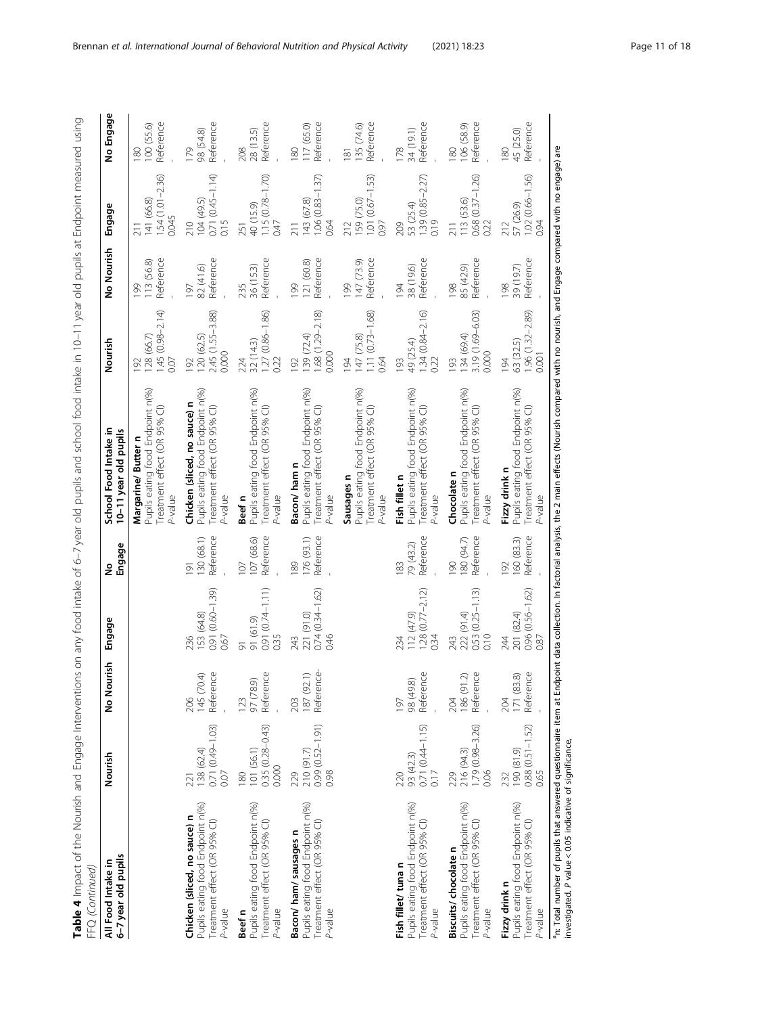| i<br>j<br>ć<br>$\frac{1}{2}$                                                     |            |
|----------------------------------------------------------------------------------|------------|
|                                                                                  |            |
| 5<br>I<br>֦ׅׅׅ֧֧֧ׅ֧֧֦֧֦֧֦֧֚֚֚֚֚֚֚֚֚֚֚֚֚֚֚֚֚֚֚֚֚֚֚֚֚֚֕֡֡֓֡֓֡֓֓֝֓֝֓֡֓֓֡            |            |
| i<br>J<br>5                                                                      |            |
|                                                                                  |            |
| j                                                                                |            |
| $\overline{a}$<br>L                                                              |            |
| j<br>֧׆<br>֧<br>Î                                                                |            |
|                                                                                  |            |
| l                                                                                |            |
| )<br>5<br>$\sim$ $\sim$ $\sim$ $\sim$ $\sim$ $\sim$ $\sim$<br>j<br>$\frac{1}{2}$ |            |
| )<br>5 D D D D D D D                                                             |            |
| $\frac{1}{2}$<br>j<br>ï                                                          |            |
| 2.7.021                                                                          |            |
| $\frac{1}{\zeta}$<br>l                                                           |            |
|                                                                                  |            |
| ļ<br>5<br>$\mathbf$                                                              |            |
| $\mathbf$<br>J<br>ì<br>ċ                                                         |            |
| $\frac{1}{1}$<br>J                                                               |            |
| ا<br>آ                                                                           |            |
|                                                                                  |            |
| こくらく<br>Ì                                                                        |            |
| )<br>D<br>D<br>D<br>D<br>D<br>D                                                  |            |
| 5<br>5<br>5<br>5<br>5<br>5                                                       |            |
| ב המת הואומה המת                                                                 |            |
| )<br>)<br>)                                                                      | ׇ֚֘֝֬<br>j |
| able 4 Impact o                                                                  | )<br>د     |

| 6-7 year old pupils<br>All Food Intake in                                                                   | Nourish                                            | $\frac{5}{2}$<br>No Nouri      | Engage                                                     | Engage<br>ş                                | School Food Intake in<br>10-11 year old pupils                                                              | Nourish                                                     | No Nourish                     | Engage                                              | No Engage                      |
|-------------------------------------------------------------------------------------------------------------|----------------------------------------------------|--------------------------------|------------------------------------------------------------|--------------------------------------------|-------------------------------------------------------------------------------------------------------------|-------------------------------------------------------------|--------------------------------|-----------------------------------------------------|--------------------------------|
|                                                                                                             |                                                    |                                |                                                            |                                            | Pupils eating food Endpoint n(%)<br>Treatment effect (OR 95% CI)<br>Margarine/Butter n<br>P-value           | $.45(0.98 - 2.14)$<br>28 (66.7)<br>0.07<br>$\overline{92}$  | Reference<br>13 (56.8)<br>199  | $1.54(1.01 - 2.36)$<br>141 (66.8)<br>0.045          | Reference<br>100 (55.6)<br>180 |
| Pupils eating food Endpoint n(%)<br>Chicken (sliced, no sauce) n<br>Treatment effect (OR 95% CI)<br>P-value | $0.71(0.49 - 1.03)$<br>221<br>138 (62.4)<br>0.07   | 145 (70.4)<br>Reference<br>206 | 0.91 (0.60-1.39)<br>153 (64.8)<br>0.67<br>236              | Reference<br>130 (68.1)<br>$\overline{91}$ | Pupils eating food Endpoint n(%)<br>Chicken (sliced, no sauce) n<br>Treatment effect (OR 95% CI)<br>P-value | 2.45 (1.55-3.88)<br>120(62.5)<br>0.000<br>92                | Reference<br>82 (41.6)<br>197  | $0.71(0.45 - 1.14)$<br>104 (49.5)<br>0.15<br>210    | Reference<br>98 (54.8)<br>179  |
| Pupils eating food Endpoint n(%)<br>Treatment effect (OR 95% CI)<br>P-value<br>Beef n                       | $0.35(0.28 - 0.43)$<br>101 (56.1)<br>0.000<br>180  | Reference<br>97 (78.9)<br>123  | $0.91(0.74 - 1.11)$<br>91 (61.9)<br>0.35<br>$\overline{5}$ | Reference<br>107 (68.6)<br>107             | Pupils eating food Endpoint n(%)<br>Treatment effect (OR 95% CI)<br>$P$ -value<br>Beef n                    | $1.27(0.86 - 1.86)$<br>32(143)<br>0.22<br>224               | Reference<br>36 (15.3)<br>235  | $1.15(0.78 - 1.70)$<br>0.47<br>40 (15.9)<br>251     | Reference<br>28 (13.5)<br>208  |
| Pupils eating food Endpoint n(%)<br>Treatment effect (OR 95% CI)<br>Bacon/ham/sausages n<br>P-value         | $0.99(0.52 - 1.91)$<br>210 (91.7)<br>0.98<br>229   | 187 (92.1)<br>Reference<br>203 | $0.74(0.34 - 1.62)$<br>221 (91.0)<br>0.46<br>243           | Reference<br>176(93.1)<br>189              | Pupils eating food Endpoint n(%)<br>Treatment effect (OR 95% CI)<br>Bacon/ham n<br>aulev-c                  | .68 (1.29-2.18)<br>39 (72.4)<br>0.000<br>92                 | Reference<br>121(60.8)<br>199  | $1.06(0.83 - 1.37)$<br>143 (67.8)<br>0.64<br>211    | Reference<br>117(65.0)<br>180  |
|                                                                                                             |                                                    |                                |                                                            |                                            | Pupils eating food Endpoint n(%)<br>Treatment effect (OR 95% Cl)<br>Sausages n<br>$P$ -value                | $1.11 (0.73 - 1.68)$<br>47 (75.8)<br>0.64<br>$\overline{5}$ | Reference<br>147 (73.9)<br>199 | $1.01 (0.67 - 1.53)$<br>159 (75.0)<br>0.97<br>212   | Reference<br>135 (74.6)<br>181 |
| Pupils eating food Endpoint n(%)<br>Treatment effect (OR 95% CI)<br>Fish fillet/ tuna n<br>P-value          | $0.71(0.44 - 1.15)$<br>93 (42.3)<br>0.17<br>220    | Reference<br>98 (49.8)<br>197  | $1.28(0.77 - 2.12)$<br>12(47.9)<br>0.34<br>234             | Reference<br>79 (43.2)<br>183              | Pupils eating food Endpoint n(%)<br>Treatment effect (OR 95% CI)<br>Fish fillet n<br>P-value                | $1.34(0.84 - 2.16)$<br>49 (25.4)<br>0.22<br>193             | Reference<br>38 (19.6)<br>194  | $1.39(0.85 - 2.27)$<br>0.19<br>53 (25.4)<br>209     | Reference<br>34 (19.1)<br>178  |
| Pupils eating food Endpoint n(%)<br>Treatment effect (OR 95% CI)<br>Biscuits/ chocolate n<br>P-value        | 1.79 (0.98-3.26)<br>216 (94.3)<br>0.06<br>229      | 186 (91.2)<br>Reference<br>204 | $0.53(0.25 - 1.13)$<br>222 (91.4)<br>0.10<br>243           | Reference<br>(4.7) 80<br>$\overline{6}$    | Pupils eating food Endpoint n(%)<br>Treatment effect (OR 95% CI)<br>Chocolate n<br>$P$ -value               | 3.19 (1.69-6.03)<br>34 (69.4)<br>0.000<br>193               | Reference<br>85 (42.9)<br>198  | $0.68$ $(0.37 - 1.26)$<br>113 (53.6)<br>0.22<br>211 | Reference<br>106(58.9)<br>180  |
| Pupils eating food Endpoint n(%)<br>Treatment effect (OR 95% CI)<br>Fizzy drink n<br>P-value                | $0.88(0.51-1.52)$<br>$0.65$<br>$(6.18)$ 061<br>232 | 171 (83.8)<br>Reference<br>204 | 0.96 (0.56-1.62)<br>201 (82.4)<br>0.87<br>244              | Reference<br>160(83.3)<br>192              | Pupils eating food Endpoint n(%)<br>Treatment effect (OR 95% CI)<br>Fizzy drink n<br>P-value                | $.96(1.32 - 2.89)$<br>63 (32.5)<br>0.001<br>194             | Reference<br>39 (19.7)<br>198  | 1.02 (0.66-1.56)<br>57 (26.9)<br>0.94<br>212        | Reference<br>45 (25.0)<br>180  |

Brennan et al. International Journal of Behavioral Nutrition and Physical Activity (2021) 18:23 Page 11 of 18

investigated. P value < 0.05 indicative of significance,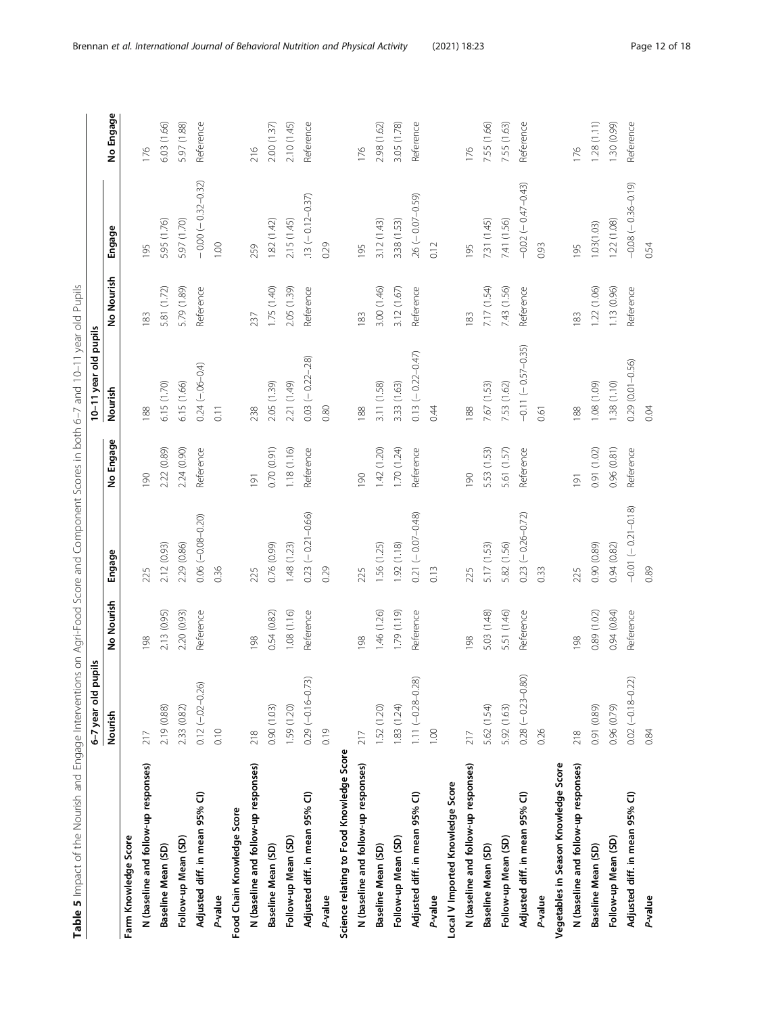| I                             |
|-------------------------------|
|                               |
|                               |
| ļ<br>I<br>I                   |
|                               |
| l                             |
|                               |
| i<br>١<br>İ<br>ï<br>ׇ֘֒       |
| I                             |
|                               |
| l                             |
| Ì                             |
|                               |
| i<br>۱                        |
| I                             |
|                               |
| ĺ<br>j                        |
| j<br>I                        |
| l<br>¢                        |
| $\overline{)}$<br>I           |
| ١<br>ï                        |
| 1                             |
| Ï<br>l                        |
| j<br>I<br>١                   |
| ١<br>ï<br>١<br>ł              |
| ׇ֚֬֡<br>I                     |
| i<br>$\mathbf{r}$             |
| ١                             |
|                               |
|                               |
|                               |
|                               |
| į<br>ł                        |
|                               |
| i<br>١<br>$\overline{)}$<br>i |
| j<br>١                        |
| Ī<br>I<br>I                   |
| ł                             |
| ١<br>ł                        |
| ï<br>J<br>ï<br>Ś              |
| ş<br>١                        |
| $\overline{\phantom{a}}$<br>d |
| I                             |
|                               |
| ֬֕֕֓֕֓֡<br>֬֕֓<br>l           |
|                               |
| $\overline{\phantom{a}}$      |
| 1                             |
| Ē                             |
| l<br>r                        |

<span id="page-11-0"></span>

| Table 5 Impact of the Nourish and Engage Interventions on Agri-Food Score and Component Scores in both 6-7 and 10-11 year old Pupils | pupils<br>6-7 year old  |             |                        |                  | 10-11 year old pupils  |             |                        |             |
|--------------------------------------------------------------------------------------------------------------------------------------|-------------------------|-------------|------------------------|------------------|------------------------|-------------|------------------------|-------------|
|                                                                                                                                      | Nourish                 | No Nourish  | Engage                 | No Engage        | Nourish                | No Nourish  | Engage                 | No Engage   |
| Farm Knowledge Score                                                                                                                 |                         |             |                        |                  |                        |             |                        |             |
| N (baseline and follow-up responses)                                                                                                 | 217                     | 198         | 225                    | 190              | 188                    | 183         | 195                    | 176         |
| Baseline Mean (SD)                                                                                                                   | 2.19 (0.88)             | 2.13 (0.95) | 2.12 (0.93)            | 2.22 (0.89)      | 6.15 (1.70)            | 5.81 (1.72) | 5.95 (1.76)            | 6.03 (1.66) |
| Follow-up Mean (SD)                                                                                                                  | 2.33 (0.82)             | 2.20 (0.93) | 2.29 (0.86)            | 2.24 (0.90)      | 6.15(1.66)             | 5.79 (1.89) | 5.97 (1.70)            | 5.97 (1.88) |
| Adjusted diff. in mean 95% Cl)                                                                                                       | $0.12 (-02 - 0.26)$     | Reference   | $0.06 (-0.08 - 0.20)$  | Reference        | $0.24 (-.06 - 0.4)$    | Reference   | $-0.00 (-0.32 - 0.32)$ | Reference   |
| P-value                                                                                                                              | 0.10                    |             | 0.36                   |                  | 0.11                   |             | 100                    |             |
| Food Chain Knowledge Score                                                                                                           |                         |             |                        |                  |                        |             |                        |             |
| N (baseline and follow-up responses)                                                                                                 | 218                     | 198         | 225                    | $\overline{191}$ | 238                    | 237         | 259                    | 216         |
| Baseline Mean (SD)                                                                                                                   | 0.90(1.03)              | 0.54 (0.82) | 0.76 (0.99)            | 0.70 (0.91)      | 2.05 (1.39)            | 1.75 (1.40) | 1.82(1.42)             | 2.00(1.37)  |
| Follow-up Mean (SD)                                                                                                                  | 1.59 (1.20)             | 1.08(1.16)  | 1.48(1.23)             | 1.18(1.16)       | 2.21 (1.49)            | 2.05 (1.39) | 2.15 (1.45)            | 2.10 (1.45) |
| Adjusted diff. in mean 95% Cl)                                                                                                       | 73)<br>$0.29(-0.16-0.$  | Reference   | $0.23 (-0.21 - 0.66)$  | Reference        | $0.03(-0.22 - 0.28)$   | Reference   | $.13 (-0.12 - 0.37)$   | Reference   |
| P-value                                                                                                                              | 0.19                    |             | 0.29                   |                  | 0.80                   |             | 0.29                   |             |
| Science relating to Food Knowledge Score                                                                                             |                         |             |                        |                  |                        |             |                        |             |
| N (baseline and follow-up responses)                                                                                                 | 217                     | 198         | 225                    | 061              | 188                    | 183         | 195                    | 176         |
| Baseline Mean (SD)                                                                                                                   | 1.52 (1.20)             | 1.46 (1.26) | 1.56 (1.25)            | 1.42 (1.20)      | 3.11 (1.58)            | 3.00 (1.46) | 3.12(1.43)             | 2.98 (1.62) |
| Follow-up Mean (SD)                                                                                                                  | 1.83(1.24)              | 1.79 (1.19) | 1.92(1.18)             | 1.70 (1.24)      | 3.33 (1.63)            | 3.12 (1.67) | 3.38 (1.53)            | 3.05 (1.78) |
| Adjusted diff. in mean 95% Cl)                                                                                                       | $1.11 (-0.28 - 0.28)$   | Reference   | $0.21 (-0.07 - 0.48)$  | Reference        | $0.13 (-0.22 - 0.47)$  | Reference   | $.26 (-0.07 - 0.59)$   | Reference   |
| P-value                                                                                                                              | 1.00                    |             | 0.13                   |                  | 0.44                   |             | 0.12                   |             |
| Local V Imported Knowledge Score                                                                                                     |                         |             |                        |                  |                        |             |                        |             |
| N (baseline and follow-up responses)                                                                                                 | 217                     | 198         | 225                    | 061              | 188                    | 183         | 195                    | 176         |
| Baseline Mean (SD)                                                                                                                   | 5.62 (1.54)             | 5.03 (1.48) | 5.17 (1.53)            | 5.53 (1.53)      | 7.67 (1.53)            | 7.17 (1.54) | 731 (1.45)             | 7.55 (1.66) |
| Follow-up Mean (SD)                                                                                                                  | 5.92 (1.63)             | 5.51 (1.46) | 5.82 (1.56)            | 5.61 (1.57)      | 7.53 (1.62)            | 7.43 (1.56) | 7.41 (1.56)            | 7.55 (1.63) |
| Adjusted diff. in mean 95% Cl)                                                                                                       | .80)<br>$0.28(-0.23-C)$ | Reference   | $0.23 (-0.26 - 0.72)$  | Reference        | $-0.11 (-0.57 - 0.35)$ | Reference   | $-0.02 (-0.47 - 0.43)$ | Reference   |
| P-value                                                                                                                              | 0.26                    |             | 0.33                   |                  | 0.61                   |             | 0.93                   |             |
| Vegetables in Season Knowledge Score                                                                                                 |                         |             |                        |                  |                        |             |                        |             |
| N (baseline and follow-up responses)                                                                                                 | 218                     | 198         | 225                    | Iğl              | 188                    | 183         | 195                    | 176         |
| Baseline Mean (SD)                                                                                                                   | 0.91 (0.89)             | 0.89 (1.02) | 0.90 (0.89)            | 0.91 (1.02)      | 1.08 (1.09)            | 1.22 (1.06) | 1.03(1.03)             | 1.28(1.11)  |
| Follow-up Mean (SD)                                                                                                                  | $(62.0)$ 96             | 0.94(0.84)  | 0.94(0.82)             | 0.96 (0.81)      | 1.38(1.10)             | 1.13 (0.96) | 1.22 (1.08)            | 1.30 (0.99) |
| Adjusted diff. in mean 95% Cl)                                                                                                       | $0.02 (-0.18 - 0.22)$   | Reference   | $-0.01 (-0.21 - 0.18)$ | Reference        | $0.29(0.01 - 0.56)$    | Reference   | $-0.08 (-0.36 - 0.19)$ | Reference   |
| P-value                                                                                                                              | 0.84                    |             | 0.89                   |                  | 0.04                   |             | 0.54                   |             |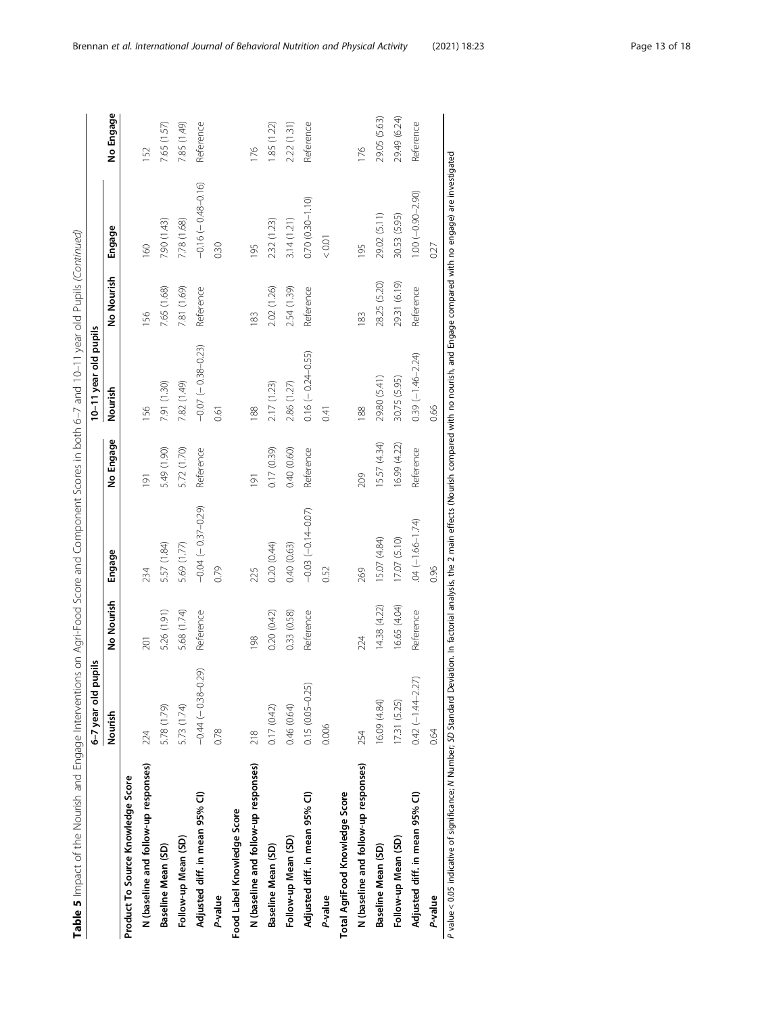| ׇ֘֒                                                    |
|--------------------------------------------------------|
|                                                        |
|                                                        |
|                                                        |
| I                                                      |
|                                                        |
|                                                        |
|                                                        |
| l                                                      |
|                                                        |
|                                                        |
| ׇֺ֖֕֕֓֬֓֬֓֓<br>1                                       |
|                                                        |
|                                                        |
| I                                                      |
|                                                        |
| ١                                                      |
| ١                                                      |
| ı                                                      |
| ļ                                                      |
|                                                        |
|                                                        |
| l<br>I                                                 |
|                                                        |
|                                                        |
| ۱                                                      |
|                                                        |
|                                                        |
|                                                        |
| ׇ֠<br>١                                                |
|                                                        |
|                                                        |
|                                                        |
| ١<br>I<br>l                                            |
|                                                        |
|                                                        |
| ׇ֚֬֡                                                   |
|                                                        |
|                                                        |
| I                                                      |
|                                                        |
|                                                        |
| I                                                      |
| $\overline{ }$                                         |
|                                                        |
|                                                        |
|                                                        |
|                                                        |
|                                                        |
|                                                        |
|                                                        |
| 1                                                      |
|                                                        |
|                                                        |
| ֖֖֖֖֖֖ׅ֪ׅׅ֪ׅ֚֚֚֚֚֚֚֚֚֚֚֚֚֚֚֚֡֬֝֓֡֡֡֝֬֓֡֬֓֡             |
| ֬֕֜֡<br>i<br>֚֬֕<br>֖֖֖֖֪ׅ֖֚֚֚֚֚֚֚֚֚֚֚֚֚֚֚֚֚֚֚֚֬֝֝֝֝֝֝ |
| Ï                                                      |
| I<br>J                                                 |
| g                                                      |
| 5                                                      |
| ١                                                      |
| ֬                                                      |
|                                                        |
|                                                        |
|                                                        |
|                                                        |
|                                                        |
|                                                        |
|                                                        |
| ֠                                                      |
|                                                        |
|                                                        |
|                                                        |
|                                                        |
| ۱                                                      |
|                                                        |

|                                      | š<br>6-7 year old pu  |              |                       |                  | 10-11 year old pupils      |              |                      |              |
|--------------------------------------|-----------------------|--------------|-----------------------|------------------|----------------------------|--------------|----------------------|--------------|
|                                      | Nourish               | No Nourish   | Engage                | No Engage        | Nourish                    | No Nourish   | Engage               | No Engage    |
| Product To Source Knowledge Score    |                       |              |                       |                  |                            |              |                      |              |
| N (baseline and follow-up responses) | 224                   | 201          | 234                   | $\overline{191}$ | 156                        | 156          | 160                  | 52           |
| Baseline Mean (SD)                   | 5.78 (1.79)           | 5.26 (1.91)  | 5.57 (1.84)           | 5.49 (1.90)      | 7.91 (1.30)                | 7.65 (1.68)  | 7.90 (1.43)          | 7.65 (1.57)  |
| Follow-up Mean (SD)                  | 5.73 (1.74)           | 5.68 (1.74)  | 5.69 (1.77)           | 5.72 (1.70)      | 7.82 (1.49)                | 7.81 (1.69)  | 7.78 (1.68)          | 7.85 (1.49)  |
| Adjusted diff. in mean 95% Cl)       | $-0.44(-0.38-0.29)$   | Reference    | $-0.04(-0.37-0.29)$   | Reference        | $-0.07$ ( $-0.38 - 0.23$ ) | Reference    | $-0.16(-0.48-0.16)$  | Reference    |
| P-value                              | 0.78                  |              | 0.79                  |                  | 0.61                       |              | 0.30                 |              |
| Food Label Knowledge Score           |                       |              |                       |                  |                            |              |                      |              |
| N (baseline and follow-up responses) | 218                   | 198          | 225                   | $\overline{191}$ | 88                         | 183          | 195                  | 176          |
| Baseline Mean (SD)                   | 0.17(0.42)            | 0.20(0.42)   | 0.20 (0.44)           | 0.17(0.39)       | 2.17 (1.23)                | 2.02 (1.26)  | 2.32 (1.23)          | 1.85 (1.22)  |
| Follow-up Mean (SD)                  | 0.46(0.64)            | 0.33 (0.58)  | 0.40(0.63)            | 0.40 (0.60)      | 2.86 (1.27)                | 2.54 (1.39)  | 3.14(1.21)           | 2.22 (1.31)  |
| Adjusted diff. in mean 95% Cl)       | $0.15(0.05 - 0.25)$   | Reference    | $-0.03(-0.14 - 0.07)$ | Reference        | $0.16 (-0.24 - 0.55)$      | Reference    | $0.70(0.30 - 1.10)$  | Reference    |
| P-value                              | 0.006                 |              | 0.52                  |                  | 0.41                       |              | 0.01                 |              |
| Total AgriFood Knowledge Score       |                       |              |                       |                  |                            |              |                      |              |
| N (baseline and follow-up responses) | 254                   | 224          | 269                   | 209              | $\frac{88}{6}$             | 183          | 195                  | 176          |
| Baseline Mean (SD)                   | 16.09 (4.84)          | 14.38 (4.22) | 15.07 (4.84)          | 15.57 (4.34)     | 29.80 (5.41)               | 28.25 (5.20) | 29.02 (5.11)         | 29.05 (5.63) |
| Follow-up Mean (SD)                  | 17.31(5.25)           | 16.65 (4.04) | 17.07 (5.10)          | 6.99 (4.22)      | 30.75 (5.95)               | 29.31 (6.19) | 30.53 (5.95)         | 29.49 (6.24) |
| Adjusted diff. in mean 95% Cl)       | $0.42 (-1.44 - 2.27)$ | Reference    | $04 (-1.66 - 1.74)$   | Reference        | $0.39(-1.46 - 2.24)$       | Reference    | $1.00(-0.90 - 2.90)$ | Reference    |
| P-value                              | 0.64                  |              | 0.96                  |                  | 0.66                       |              | 0.27                 |              |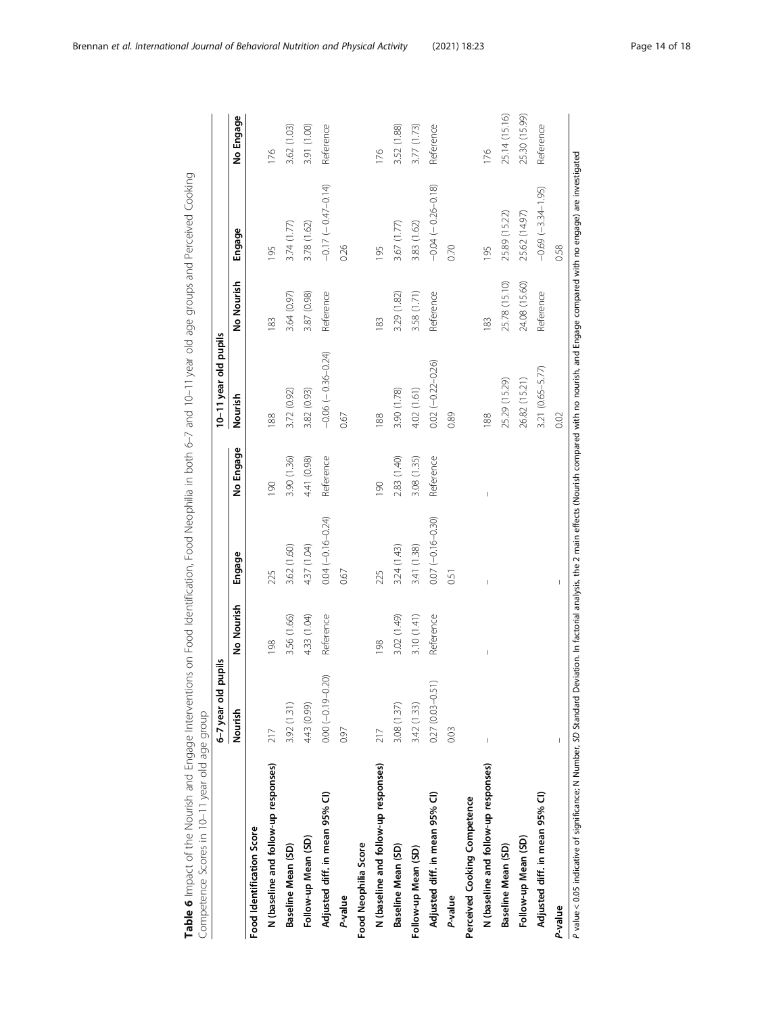| $-0.69(-3.34-1.95)$<br>25.89 (15.22)<br>25.62 (14.97)<br>3.78 (1.62)<br>3.83 (1.62)<br>3.74 (1.77)<br>3.67 (1.77)<br>Engage<br>0.26<br>0.70<br>$\frac{6}{2}$<br>195<br>195<br>No Nourish<br>25.78 (15.10)<br>24.08 (15.60)<br>Reference<br>Reference<br>Reference<br>3.87 (0.98)<br>3.58 (1.71)<br>3.29 (1.82)<br>3.64 (0.97)<br>$\frac{83}{2}$<br>183<br>183<br>$-0.06(-0.36-0.24)$<br>$0.02 (-0.22 - 0.26)$<br>3.21 (0.65-5.77)<br>26.82 (15.21)<br>25.29 (15.29)<br>4.02 (1.61)<br>3.82 (0.93)<br>3.72 (0.92)<br>3.90 (1.78)<br>Nourish<br>0.89<br>0.67<br>188<br>88<br>88<br>No Engage<br>3.90 (1.36)<br>4.41 (0.98)<br>Reference<br>2.83 (1.40)<br>3.08 (1.35)<br>Reference<br>061<br>190<br>I<br>$0.04 (-0.16 - 0.24)$<br>$0.07 (-0.16 - 0.30)$<br>4.37 (1.04)<br>3.41 (1.38)<br>3.62 (1.60)<br>3.24(1.43)<br>Engage<br>0.67<br>225<br>225<br>0.51<br>No Nourish<br>4.33 (1.04)<br>Reference<br>3.10(1.41)<br>Reference<br>3.56 (1.66)<br>3.02 (1.49)<br>198<br>198<br>I<br>$0.00 (-0.19 - 0.20)$<br>$0.27(0.03 - 0.51)$<br>3.92 (1.31)<br>3.42 (1.33)<br>4.43 (0.99)<br>3.08(1.37)<br>Nourish<br>0.03<br>0.97<br>217<br>217<br>N (baseline and follow-up responses)<br>N (baseline and follow-up responses)<br>N (baseline and follow-up responses)<br>Adjusted diff. in mean 95% Cl)<br>Adjusted diff. in mean 95% Cl)<br>Adjusted diff. in mean 95% Cl)<br>Perceived Cooking Competence<br>Food Identification Score<br>Follow-up Mean (SD)<br>Follow-up Mean (SD)<br>Food Neophilia Score<br>Baseline Mean (SD)<br>Baseline Mean (SD)<br>Baseline Mean (SD)<br>Follow-up Mean (SD)<br>P-value<br>P-value |         | pupils<br>6-7 year old |  | 10-11 year old pupils |                       |               |
|--------------------------------------------------------------------------------------------------------------------------------------------------------------------------------------------------------------------------------------------------------------------------------------------------------------------------------------------------------------------------------------------------------------------------------------------------------------------------------------------------------------------------------------------------------------------------------------------------------------------------------------------------------------------------------------------------------------------------------------------------------------------------------------------------------------------------------------------------------------------------------------------------------------------------------------------------------------------------------------------------------------------------------------------------------------------------------------------------------------------------------------------------------------------------------------------------------------------------------------------------------------------------------------------------------------------------------------------------------------------------------------------------------------------------------------------------------------------------------------------------------------------------------------------------------------------------------------------------------------------|---------|------------------------|--|-----------------------|-----------------------|---------------|
|                                                                                                                                                                                                                                                                                                                                                                                                                                                                                                                                                                                                                                                                                                                                                                                                                                                                                                                                                                                                                                                                                                                                                                                                                                                                                                                                                                                                                                                                                                                                                                                                                    |         |                        |  |                       |                       | No Engage     |
|                                                                                                                                                                                                                                                                                                                                                                                                                                                                                                                                                                                                                                                                                                                                                                                                                                                                                                                                                                                                                                                                                                                                                                                                                                                                                                                                                                                                                                                                                                                                                                                                                    |         |                        |  |                       |                       |               |
|                                                                                                                                                                                                                                                                                                                                                                                                                                                                                                                                                                                                                                                                                                                                                                                                                                                                                                                                                                                                                                                                                                                                                                                                                                                                                                                                                                                                                                                                                                                                                                                                                    |         |                        |  |                       |                       | 176           |
|                                                                                                                                                                                                                                                                                                                                                                                                                                                                                                                                                                                                                                                                                                                                                                                                                                                                                                                                                                                                                                                                                                                                                                                                                                                                                                                                                                                                                                                                                                                                                                                                                    |         |                        |  |                       |                       | 3.62 (1.03)   |
|                                                                                                                                                                                                                                                                                                                                                                                                                                                                                                                                                                                                                                                                                                                                                                                                                                                                                                                                                                                                                                                                                                                                                                                                                                                                                                                                                                                                                                                                                                                                                                                                                    |         |                        |  |                       |                       | 3.91 (1.00)   |
|                                                                                                                                                                                                                                                                                                                                                                                                                                                                                                                                                                                                                                                                                                                                                                                                                                                                                                                                                                                                                                                                                                                                                                                                                                                                                                                                                                                                                                                                                                                                                                                                                    |         |                        |  |                       | $-0.17(-0.47-0.14)$   | Reference     |
|                                                                                                                                                                                                                                                                                                                                                                                                                                                                                                                                                                                                                                                                                                                                                                                                                                                                                                                                                                                                                                                                                                                                                                                                                                                                                                                                                                                                                                                                                                                                                                                                                    |         |                        |  |                       |                       |               |
|                                                                                                                                                                                                                                                                                                                                                                                                                                                                                                                                                                                                                                                                                                                                                                                                                                                                                                                                                                                                                                                                                                                                                                                                                                                                                                                                                                                                                                                                                                                                                                                                                    |         |                        |  |                       |                       |               |
|                                                                                                                                                                                                                                                                                                                                                                                                                                                                                                                                                                                                                                                                                                                                                                                                                                                                                                                                                                                                                                                                                                                                                                                                                                                                                                                                                                                                                                                                                                                                                                                                                    |         |                        |  |                       |                       | 176           |
|                                                                                                                                                                                                                                                                                                                                                                                                                                                                                                                                                                                                                                                                                                                                                                                                                                                                                                                                                                                                                                                                                                                                                                                                                                                                                                                                                                                                                                                                                                                                                                                                                    |         |                        |  |                       |                       | 3.52 (1.88)   |
|                                                                                                                                                                                                                                                                                                                                                                                                                                                                                                                                                                                                                                                                                                                                                                                                                                                                                                                                                                                                                                                                                                                                                                                                                                                                                                                                                                                                                                                                                                                                                                                                                    |         |                        |  |                       |                       | 3.77(1.73)    |
|                                                                                                                                                                                                                                                                                                                                                                                                                                                                                                                                                                                                                                                                                                                                                                                                                                                                                                                                                                                                                                                                                                                                                                                                                                                                                                                                                                                                                                                                                                                                                                                                                    |         |                        |  |                       | $-0.04(-0.26 - 0.18)$ | Reference     |
|                                                                                                                                                                                                                                                                                                                                                                                                                                                                                                                                                                                                                                                                                                                                                                                                                                                                                                                                                                                                                                                                                                                                                                                                                                                                                                                                                                                                                                                                                                                                                                                                                    |         |                        |  |                       |                       |               |
|                                                                                                                                                                                                                                                                                                                                                                                                                                                                                                                                                                                                                                                                                                                                                                                                                                                                                                                                                                                                                                                                                                                                                                                                                                                                                                                                                                                                                                                                                                                                                                                                                    |         |                        |  |                       |                       |               |
|                                                                                                                                                                                                                                                                                                                                                                                                                                                                                                                                                                                                                                                                                                                                                                                                                                                                                                                                                                                                                                                                                                                                                                                                                                                                                                                                                                                                                                                                                                                                                                                                                    |         |                        |  |                       |                       | 176           |
|                                                                                                                                                                                                                                                                                                                                                                                                                                                                                                                                                                                                                                                                                                                                                                                                                                                                                                                                                                                                                                                                                                                                                                                                                                                                                                                                                                                                                                                                                                                                                                                                                    |         |                        |  |                       |                       | 25.14 (15.16) |
|                                                                                                                                                                                                                                                                                                                                                                                                                                                                                                                                                                                                                                                                                                                                                                                                                                                                                                                                                                                                                                                                                                                                                                                                                                                                                                                                                                                                                                                                                                                                                                                                                    |         |                        |  |                       |                       | 25.30 (15.99) |
|                                                                                                                                                                                                                                                                                                                                                                                                                                                                                                                                                                                                                                                                                                                                                                                                                                                                                                                                                                                                                                                                                                                                                                                                                                                                                                                                                                                                                                                                                                                                                                                                                    |         |                        |  |                       |                       | Reference     |
|                                                                                                                                                                                                                                                                                                                                                                                                                                                                                                                                                                                                                                                                                                                                                                                                                                                                                                                                                                                                                                                                                                                                                                                                                                                                                                                                                                                                                                                                                                                                                                                                                    | P-value |                        |  | 0.02                  | 0.58                  |               |

<span id="page-13-0"></span>Brennan et al. International Journal of Behavioral Nutrition and Physical Activity (2021) 18:23 Page 14 of 18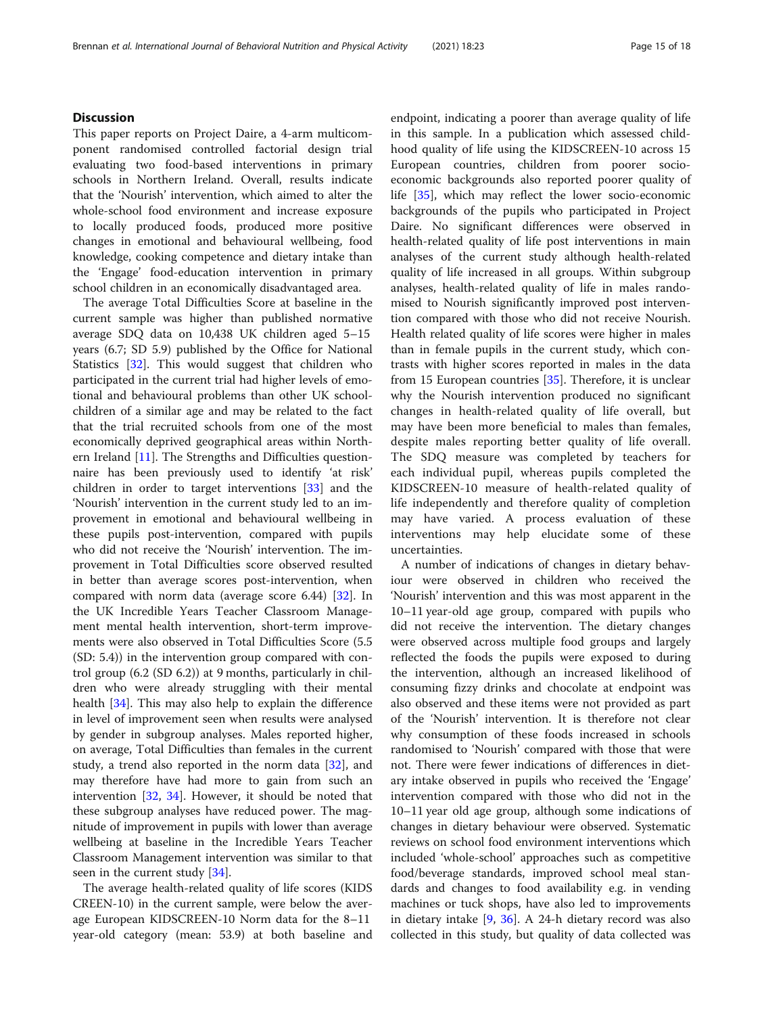# **Discussion**

This paper reports on Project Daire, a 4-arm multicomponent randomised controlled factorial design trial evaluating two food-based interventions in primary schools in Northern Ireland. Overall, results indicate that the 'Nourish' intervention, which aimed to alter the whole-school food environment and increase exposure to locally produced foods, produced more positive changes in emotional and behavioural wellbeing, food knowledge, cooking competence and dietary intake than the 'Engage' food-education intervention in primary school children in an economically disadvantaged area.

The average Total Difficulties Score at baseline in the current sample was higher than published normative average SDQ data on 10,438 UK children aged 5–15 years (6.7; SD 5.9) published by the Office for National Statistics [[32](#page-17-0)]. This would suggest that children who participated in the current trial had higher levels of emotional and behavioural problems than other UK schoolchildren of a similar age and may be related to the fact that the trial recruited schools from one of the most economically deprived geographical areas within Northern Ireland [\[11\]](#page-16-0). The Strengths and Difficulties questionnaire has been previously used to identify 'at risk' children in order to target interventions [\[33](#page-17-0)] and the 'Nourish' intervention in the current study led to an improvement in emotional and behavioural wellbeing in these pupils post-intervention, compared with pupils who did not receive the 'Nourish' intervention. The improvement in Total Difficulties score observed resulted in better than average scores post-intervention, when compared with norm data (average score 6.44) [\[32](#page-17-0)]. In the UK Incredible Years Teacher Classroom Management mental health intervention, short-term improvements were also observed in Total Difficulties Score (5.5 (SD: 5.4)) in the intervention group compared with control group (6.2 (SD 6.2)) at 9 months, particularly in children who were already struggling with their mental health [\[34](#page-17-0)]. This may also help to explain the difference in level of improvement seen when results were analysed by gender in subgroup analyses. Males reported higher, on average, Total Difficulties than females in the current study, a trend also reported in the norm data [\[32](#page-17-0)], and may therefore have had more to gain from such an intervention [[32,](#page-17-0) [34\]](#page-17-0). However, it should be noted that these subgroup analyses have reduced power. The magnitude of improvement in pupils with lower than average wellbeing at baseline in the Incredible Years Teacher Classroom Management intervention was similar to that seen in the current study [\[34](#page-17-0)].

The average health-related quality of life scores (KIDS CREEN-10) in the current sample, were below the average European KIDSCREEN-10 Norm data for the 8–11 year-old category (mean: 53.9) at both baseline and endpoint, indicating a poorer than average quality of life in this sample. In a publication which assessed childhood quality of life using the KIDSCREEN-10 across 15 European countries, children from poorer socioeconomic backgrounds also reported poorer quality of life [[35](#page-17-0)], which may reflect the lower socio-economic backgrounds of the pupils who participated in Project Daire. No significant differences were observed in health-related quality of life post interventions in main analyses of the current study although health-related quality of life increased in all groups. Within subgroup analyses, health-related quality of life in males randomised to Nourish significantly improved post intervention compared with those who did not receive Nourish. Health related quality of life scores were higher in males than in female pupils in the current study, which contrasts with higher scores reported in males in the data from 15 European countries [[35](#page-17-0)]. Therefore, it is unclear why the Nourish intervention produced no significant changes in health-related quality of life overall, but may have been more beneficial to males than females, despite males reporting better quality of life overall. The SDQ measure was completed by teachers for each individual pupil, whereas pupils completed the KIDSCREEN-10 measure of health-related quality of life independently and therefore quality of completion may have varied. A process evaluation of these interventions may help elucidate some of these uncertainties.

A number of indications of changes in dietary behaviour were observed in children who received the 'Nourish' intervention and this was most apparent in the 10–11 year-old age group, compared with pupils who did not receive the intervention. The dietary changes were observed across multiple food groups and largely reflected the foods the pupils were exposed to during the intervention, although an increased likelihood of consuming fizzy drinks and chocolate at endpoint was also observed and these items were not provided as part of the 'Nourish' intervention. It is therefore not clear why consumption of these foods increased in schools randomised to 'Nourish' compared with those that were not. There were fewer indications of differences in dietary intake observed in pupils who received the 'Engage' intervention compared with those who did not in the 10–11 year old age group, although some indications of changes in dietary behaviour were observed. Systematic reviews on school food environment interventions which included 'whole-school' approaches such as competitive food/beverage standards, improved school meal standards and changes to food availability e.g. in vending machines or tuck shops, have also led to improvements in dietary intake [[9,](#page-16-0) [36](#page-17-0)]. A 24-h dietary record was also collected in this study, but quality of data collected was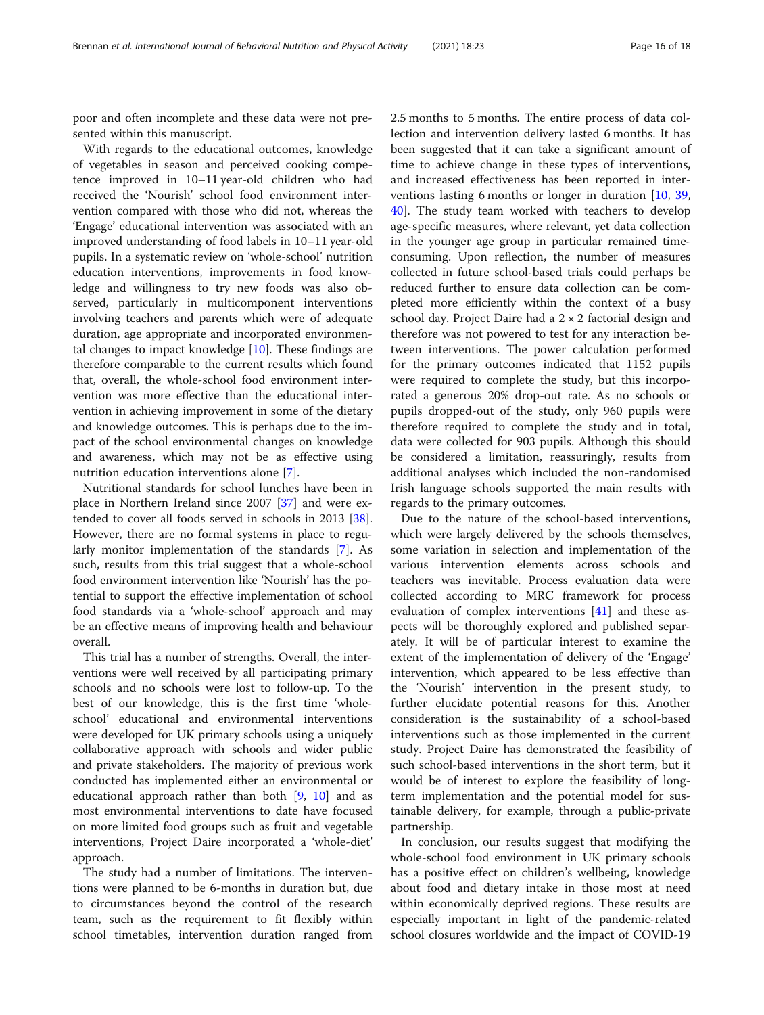poor and often incomplete and these data were not presented within this manuscript.

With regards to the educational outcomes, knowledge of vegetables in season and perceived cooking competence improved in 10–11 year-old children who had received the 'Nourish' school food environment intervention compared with those who did not, whereas the 'Engage' educational intervention was associated with an improved understanding of food labels in 10–11 year-old pupils. In a systematic review on 'whole-school' nutrition education interventions, improvements in food knowledge and willingness to try new foods was also observed, particularly in multicomponent interventions involving teachers and parents which were of adequate duration, age appropriate and incorporated environmental changes to impact knowledge [\[10\]](#page-16-0). These findings are therefore comparable to the current results which found that, overall, the whole-school food environment intervention was more effective than the educational intervention in achieving improvement in some of the dietary and knowledge outcomes. This is perhaps due to the impact of the school environmental changes on knowledge and awareness, which may not be as effective using nutrition education interventions alone [\[7](#page-16-0)].

Nutritional standards for school lunches have been in place in Northern Ireland since 2007 [[37\]](#page-17-0) and were extended to cover all foods served in schools in 2013 [\[38](#page-17-0)]. However, there are no formal systems in place to regularly monitor implementation of the standards [[7\]](#page-16-0). As such, results from this trial suggest that a whole-school food environment intervention like 'Nourish' has the potential to support the effective implementation of school food standards via a 'whole-school' approach and may be an effective means of improving health and behaviour overall.

This trial has a number of strengths. Overall, the interventions were well received by all participating primary schools and no schools were lost to follow-up. To the best of our knowledge, this is the first time 'wholeschool' educational and environmental interventions were developed for UK primary schools using a uniquely collaborative approach with schools and wider public and private stakeholders. The majority of previous work conducted has implemented either an environmental or educational approach rather than both [[9,](#page-16-0) [10\]](#page-16-0) and as most environmental interventions to date have focused on more limited food groups such as fruit and vegetable interventions, Project Daire incorporated a 'whole-diet' approach.

The study had a number of limitations. The interventions were planned to be 6-months in duration but, due to circumstances beyond the control of the research team, such as the requirement to fit flexibly within school timetables, intervention duration ranged from 2.5 months to 5 months. The entire process of data collection and intervention delivery lasted 6 months. It has been suggested that it can take a significant amount of time to achieve change in these types of interventions, and increased effectiveness has been reported in interventions lasting 6 months or longer in duration [[10,](#page-16-0) [39](#page-17-0), [40\]](#page-17-0). The study team worked with teachers to develop age-specific measures, where relevant, yet data collection in the younger age group in particular remained timeconsuming. Upon reflection, the number of measures collected in future school-based trials could perhaps be reduced further to ensure data collection can be completed more efficiently within the context of a busy school day. Project Daire had a  $2 \times 2$  factorial design and therefore was not powered to test for any interaction between interventions. The power calculation performed for the primary outcomes indicated that 1152 pupils were required to complete the study, but this incorporated a generous 20% drop-out rate. As no schools or pupils dropped-out of the study, only 960 pupils were therefore required to complete the study and in total, data were collected for 903 pupils. Although this should be considered a limitation, reassuringly, results from additional analyses which included the non-randomised Irish language schools supported the main results with regards to the primary outcomes.

Due to the nature of the school-based interventions, which were largely delivered by the schools themselves, some variation in selection and implementation of the various intervention elements across schools and teachers was inevitable. Process evaluation data were collected according to MRC framework for process evaluation of complex interventions [\[41\]](#page-17-0) and these aspects will be thoroughly explored and published separately. It will be of particular interest to examine the extent of the implementation of delivery of the 'Engage' intervention, which appeared to be less effective than the 'Nourish' intervention in the present study, to further elucidate potential reasons for this. Another consideration is the sustainability of a school-based interventions such as those implemented in the current study. Project Daire has demonstrated the feasibility of such school-based interventions in the short term, but it would be of interest to explore the feasibility of longterm implementation and the potential model for sustainable delivery, for example, through a public-private partnership.

In conclusion, our results suggest that modifying the whole-school food environment in UK primary schools has a positive effect on children's wellbeing, knowledge about food and dietary intake in those most at need within economically deprived regions. These results are especially important in light of the pandemic-related school closures worldwide and the impact of COVID-19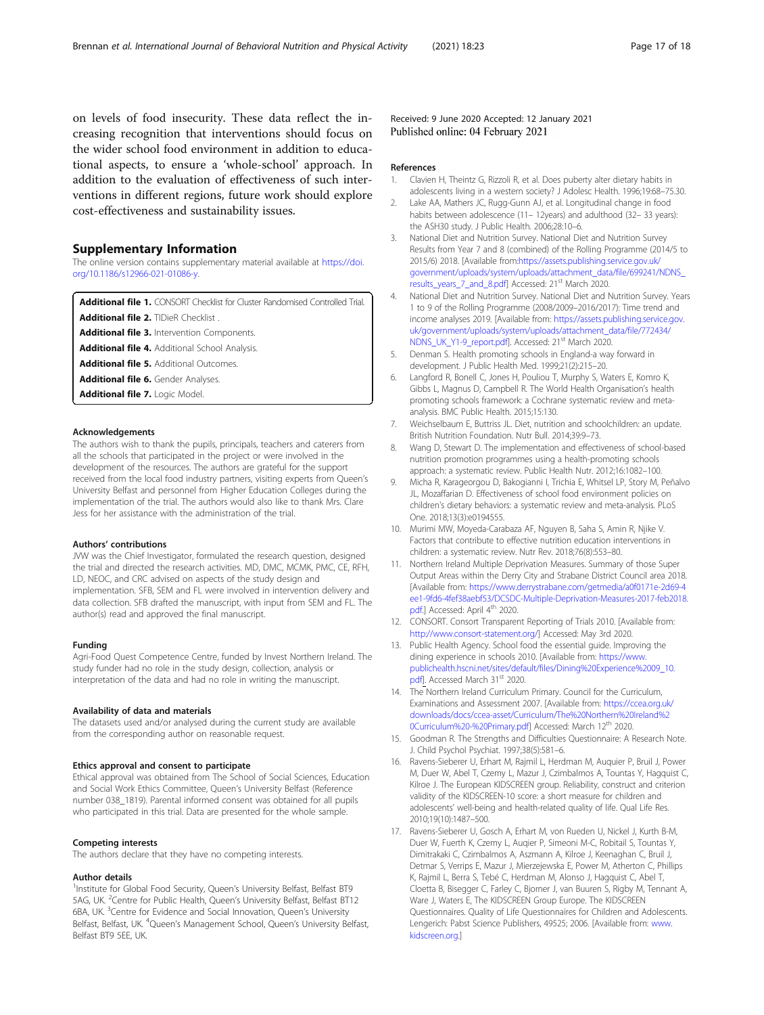<span id="page-16-0"></span>on levels of food insecurity. These data reflect the increasing recognition that interventions should focus on the wider school food environment in addition to educational aspects, to ensure a 'whole-school' approach. In addition to the evaluation of effectiveness of such interventions in different regions, future work should explore cost-effectiveness and sustainability issues.

# Supplementary Information

The online version contains supplementary material available at [https://doi.](https://doi.org/10.1186/s12966-021-01086-y) [org/10.1186/s12966-021-01086-y](https://doi.org/10.1186/s12966-021-01086-y).

Additional file 1. CONSORT Checklist for Cluster Randomised Controlled Trial.

Additional file 2. TIDieR Checklist

Additional file 3. Intervention Components.

Additional file 4. Additional School Analysis

Additional file 5. Additional Outcomes.

Additional file 6. Gender Analyses.

Additional file 7. Logic Model.

#### Acknowledgements

The authors wish to thank the pupils, principals, teachers and caterers from all the schools that participated in the project or were involved in the development of the resources. The authors are grateful for the support received from the local food industry partners, visiting experts from Queen's University Belfast and personnel from Higher Education Colleges during the implementation of the trial. The authors would also like to thank Mrs. Clare Jess for her assistance with the administration of the trial.

#### Authors' contributions

JVW was the Chief Investigator, formulated the research question, designed the trial and directed the research activities. MD, DMC, MCMK, PMC, CE, RFH, LD, NEOC, and CRC advised on aspects of the study design and implementation. SFB, SEM and FL were involved in intervention delivery and data collection. SFB drafted the manuscript, with input from SEM and FL. The author(s) read and approved the final manuscript.

#### Funding

Agri-Food Quest Competence Centre, funded by Invest Northern Ireland. The study funder had no role in the study design, collection, analysis or interpretation of the data and had no role in writing the manuscript.

#### Availability of data and materials

The datasets used and/or analysed during the current study are available from the corresponding author on reasonable request.

#### Ethics approval and consent to participate

Ethical approval was obtained from The School of Social Sciences, Education and Social Work Ethics Committee, Queen's University Belfast (Reference number 038\_1819). Parental informed consent was obtained for all pupils who participated in this trial. Data are presented for the whole sample.

#### Competing interests

The authors declare that they have no competing interests.

#### Author details

<sup>1</sup>Institute for Global Food Security, Queen's University Belfast, Belfast BT9 5AG, UK. <sup>2</sup>Centre for Public Health, Queen's University Belfast, Belfast BT12 6BA, UK. <sup>3</sup>Centre for Evidence and Social Innovation, Queen's University Belfast, Belfast, UK. <sup>4</sup>Queen's Management School, Queen's University Belfast, Belfast BT9 5EE, UK.

Received: 9 June 2020 Accepted: 12 January 2021 Published online: 04 February 2021

#### References

- 1. Clavien H, Theintz G, Rizzoli R, et al. Does puberty alter dietary habits in adolescents living in a western society? J Adolesc Health. 1996;19:68–75.30.
- 2. Lake AA, Mathers JC, Rugg-Gunn AJ, et al. Longitudinal change in food habits between adolescence (11-12years) and adulthood (32-33 years): the ASH30 study. J Public Health. 2006;28:10–6.
- 3. National Diet and Nutrition Survey. National Diet and Nutrition Survey Results from Year 7 and 8 (combined) of the Rolling Programme (2014/5 to 2015/6) 2018. [Available from[:https://assets.publishing.service.gov.uk/](https://assets.publishing.service.gov.uk/government/uploads/system/uploads/attachment_data/file/699241/NDNS_results_years_7_and_8.pdf) [government/uploads/system/uploads/attachment\\_data/file/699241/NDNS\\_](https://assets.publishing.service.gov.uk/government/uploads/system/uploads/attachment_data/file/699241/NDNS_results_years_7_and_8.pdf) [results\\_years\\_7\\_and\\_8.pdf\]](https://assets.publishing.service.gov.uk/government/uploads/system/uploads/attachment_data/file/699241/NDNS_results_years_7_and_8.pdf) Accessed: 21<sup>st</sup> March 2020.
- 4. National Diet and Nutrition Survey. National Diet and Nutrition Survey. Years 1 to 9 of the Rolling Programme (2008/2009–2016/2017): Time trend and income analyses 2019. [Available from: [https://assets.publishing.service.gov.](https://assets.publishing.service.gov.uk/government/uploads/system/uploads/attachment_data/file/772434/NDNS_UK_Y1-9_report.pdf) [uk/government/uploads/system/uploads/attachment\\_data/file/772434/](https://assets.publishing.service.gov.uk/government/uploads/system/uploads/attachment_data/file/772434/NDNS_UK_Y1-9_report.pdf) [NDNS\\_UK\\_Y1-9\\_report.pdf\]](https://assets.publishing.service.gov.uk/government/uploads/system/uploads/attachment_data/file/772434/NDNS_UK_Y1-9_report.pdf). Accessed: 21<sup>st</sup> March 2020.
- 5. Denman S. Health promoting schools in England-a way forward in development. J Public Health Med. 1999;21(2):215–20.
- 6. Langford R, Bonell C, Jones H, Pouliou T, Murphy S, Waters E, Komro K, Gibbs L, Magnus D, Campbell R. The World Health Organisation's health promoting schools framework: a Cochrane systematic review and metaanalysis. BMC Public Health. 2015;15:130.
- 7. Weichselbaum E, Buttriss JL. Diet, nutrition and schoolchildren: an update. British Nutrition Foundation. Nutr Bull. 2014;39:9–73.
- 8. Wang D, Stewart D. The implementation and effectiveness of school-based nutrition promotion programmes using a health-promoting schools approach: a systematic review. Public Health Nutr. 2012;16:1082–100.
- 9. Micha R, Karageorgou D, Bakogianni I, Trichia E, Whitsel LP, Story M, Peñalvo JL, Mozaffarian D. Effectiveness of school food environment policies on children's dietary behaviors: a systematic review and meta-analysis. PLoS One. 2018;13(3):e0194555.
- 10. Murimi MW, Moyeda-Carabaza AF, Nguyen B, Saha S, Amin R, Njike V. Factors that contribute to effective nutrition education interventions in children: a systematic review. Nutr Rev. 2018;76(8):553–80.
- 11. Northern Ireland Multiple Deprivation Measures. Summary of those Super Output Areas within the Derry City and Strabane District Council area 2018. [Available from: [https://www.derrystrabane.com/getmedia/a0f0171e-2d69-4](https://www.derrystrabane.com/getmedia/a0f0171e-2d69-4ee1-9fd6-4fef38aebf53/DCSDC-Multiple-Deprivation-Measures-2017-feb2018.pdf) [ee1-9fd6-4fef38aebf53/DCSDC-Multiple-Deprivation-Measures-2017-feb2018.](https://www.derrystrabane.com/getmedia/a0f0171e-2d69-4ee1-9fd6-4fef38aebf53/DCSDC-Multiple-Deprivation-Measures-2017-feb2018.pdf) [pdf](https://www.derrystrabane.com/getmedia/a0f0171e-2d69-4ee1-9fd6-4fef38aebf53/DCSDC-Multiple-Deprivation-Measures-2017-feb2018.pdf).] Accessed: April 4<sup>th</sup> 2020.
- 12. CONSORT. Consort Transparent Reporting of Trials 2010. [Available from: [http://www.consort-statement.org/\]](http://www.consort-statement.org/) Accessed: May 3rd 2020.
- 13. Public Health Agency. School food the essential guide. Improving the dining experience in schools 2010. [Available from: [https://www.](https://www.publichealth.hscni.net/sites/default/files/Dining%20Experience%2009_10.pdf) [publichealth.hscni.net/sites/default/files/Dining%20Experience%2009\\_10.](https://www.publichealth.hscni.net/sites/default/files/Dining%20Experience%2009_10.pdf) [pdf](https://www.publichealth.hscni.net/sites/default/files/Dining%20Experience%2009_10.pdf)]. Accessed March 31<sup>st</sup> 2020.
- 14. The Northern Ireland Curriculum Primary. Council for the Curriculum, Examinations and Assessment 2007. [Available from: [https://ccea.org.uk/](https://ccea.org.uk/downloads/docs/ccea-asset/Curriculum/The%20Northern%20Ireland%20Curriculum%20-%20Primary.pdf) [downloads/docs/ccea-asset/Curriculum/The%20Northern%20Ireland%2](https://ccea.org.uk/downloads/docs/ccea-asset/Curriculum/The%20Northern%20Ireland%20Curriculum%20-%20Primary.pdf) [0Curriculum%20-%20Primary.pdf](https://ccea.org.uk/downloads/docs/ccea-asset/Curriculum/The%20Northern%20Ireland%20Curriculum%20-%20Primary.pdf)] Accessed: March 12<sup>th</sup> 2020.
- 15. Goodman R. The Strengths and Difficulties Questionnaire: A Research Note. J. Child Psychol Psychiat. 1997;38(5):581–6.
- 16. Ravens-Sieberer U, Erhart M, Rajmil L, Herdman M, Auquier P, Bruil J, Power M, Duer W, Abel T, Czemy L, Mazur J, Czimbalmos A, Tountas Y, Hagquist C, Kilroe J. The European KIDSCREEN group. Reliability, construct and criterion validity of the KIDSCREEN-10 score: a short measure for children and adolescents' well-being and health-related quality of life. Qual Life Res. 2010;19(10):1487–500.
- 17. Ravens-Sieberer U, Gosch A, Erhart M, von Rueden U, Nickel J, Kurth B-M, Duer W, Fuerth K, Czemy L, Auqier P, Simeoni M-C, Robitail S, Tountas Y, Dimitrakaki C, Czimbalmos A, Aszmann A, Kilroe J, Keenaghan C, Bruil J, Detmar S, Verrips E, Mazur J, Mierzejewska E, Power M, Atherton C, Phillips K, Rajmil L, Berra S, Tebé C, Herdman M, Alonso J, Hagquist C, Abel T, Cloetta B, Bisegger C, Farley C, Bjorner J, van Buuren S, Rigby M, Tennant A, Ware J, Waters E, The KIDSCREEN Group Europe. The KIDSCREEN Questionnaires. Quality of Life Questionnaires for Children and Adolescents. Lengerich: Pabst Science Publishers, 49525; 2006. [Available from: [www.](http://www.kidscreen.org) [kidscreen.org](http://www.kidscreen.org).]